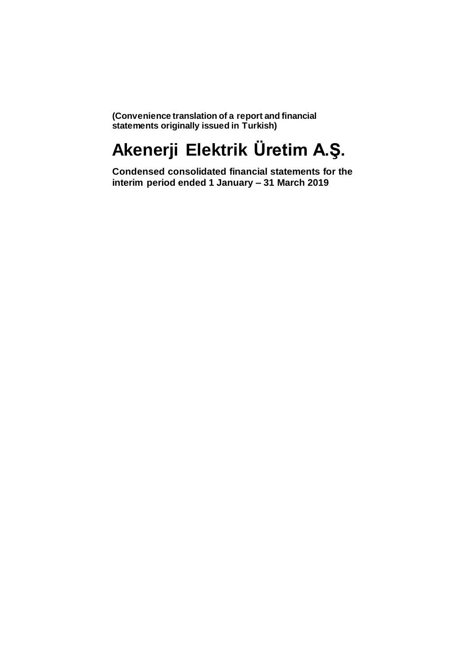**(Convenience translation of a report and financial statements originally issued in Turkish)**

# **Akenerji Elektrik Üretim A.Ş.**

**Condensed consolidated financial statements for the interim period ended 1 January – 31 March 2019**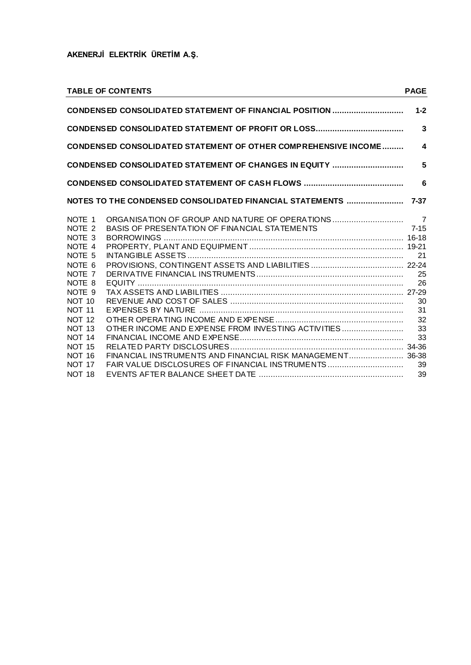|                                                     | <b>TABLE OF CONTENTS</b>                                              | <b>PAGE</b>      |
|-----------------------------------------------------|-----------------------------------------------------------------------|------------------|
|                                                     | CONDENSED CONSOLIDATED STATEMENT OF FINANCIAL POSITION                | $1 - 2$          |
|                                                     |                                                                       | 3                |
|                                                     | <b>CONDENSED CONSOLIDATED STATEMENT OF OTHER COMPREHENSIVE INCOME</b> | $\blacktriangle$ |
|                                                     | CONDENSED CONSOLIDATED STATEMENT OF CHANGES IN EQUITY                 | 5                |
|                                                     |                                                                       | 6                |
|                                                     |                                                                       |                  |
| NOTE 1<br>NOTE <sub>2</sub>                         | BASIS OF PRESENTATION OF FINANCIAL STATEMENTS                         | $7 - 15$         |
| NOTE 3<br>NOTE 4<br>NOTE 5                          |                                                                       | 21               |
| NOTE 6<br>NOTE 7                                    |                                                                       | 25               |
| NOTE 8<br>NOTE <sub>9</sub><br>NOT <sub>10</sub>    |                                                                       | 26<br>30         |
| <b>NOT 11</b><br><b>NOT 12</b><br>NOT <sub>13</sub> | OTHER INCOME AND EXPENSE FROM INVESTING ACTIVITIES                    | 31<br>32<br>33   |
| <b>NOT 14</b><br><b>NOT 15</b>                      |                                                                       | 33               |
| <b>NOT 16</b><br><b>NOT 17</b>                      | FAIR VALUE DISCLOSURES OF FINANCIAL INSTRUMENTS                       | 39               |
| NOT <sub>18</sub>                                   |                                                                       | 39               |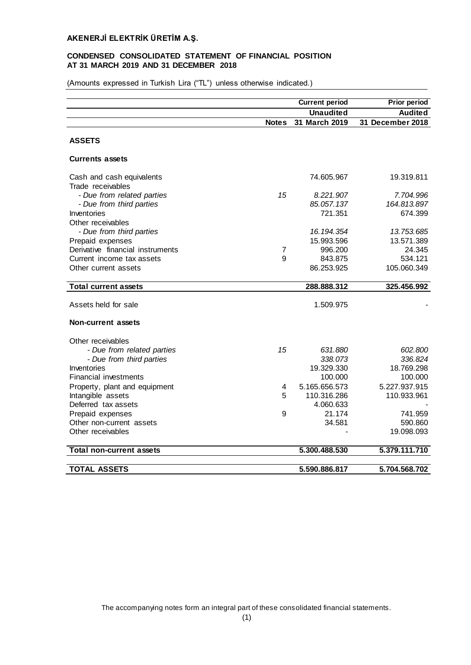## **CONDENSED CONSOLIDATED STATEMENT OF FINANCIAL POSITION AT 31 MARCH 2019 AND 31 DECEMBER 2018**

(Amounts expressed in Turkish Lira ("TL") unless otherwise indicated.)

|                                                |              | <b>Current period</b> | <b>Prior period</b> |
|------------------------------------------------|--------------|-----------------------|---------------------|
|                                                |              | <b>Unaudited</b>      | <b>Audited</b>      |
|                                                | <b>Notes</b> | 31 March 2019         | 31 December 2018    |
| <b>ASSETS</b>                                  |              |                       |                     |
| <b>Currents assets</b>                         |              |                       |                     |
| Cash and cash equivalents<br>Trade receivables |              | 74.605.967            | 19.319.811          |
| - Due from related parties                     | 15           | 8.221.907             | 7.704.996           |
| - Due from third parties                       |              | 85.057.137            | 164.813.897         |
| Inventories                                    |              | 721.351               | 674.399             |
| Other receivables                              |              |                       |                     |
| - Due from third parties                       |              | 16.194.354            | 13.753.685          |
| Prepaid expenses                               |              | 15.993.596            | 13.571.389          |
| Derivative financial instruments               | 7            | 996.200               | 24.345              |
| Current income tax assets                      | 9            | 843.875               | 534.121             |
| Other current assets                           |              | 86.253.925            | 105.060.349         |
|                                                |              |                       |                     |
| <b>Total current assets</b>                    |              | 288.888.312           | 325.456.992         |
| Assets held for sale                           |              | 1.509.975             |                     |
| <b>Non-current assets</b>                      |              |                       |                     |
| Other receivables                              |              |                       |                     |
| - Due from related parties                     | 15           | 631.880               | 602.800             |
| - Due from third parties                       |              | 338.073               | 336.824             |
| Inventories                                    |              | 19.329.330            | 18.769.298          |
| <b>Financial investments</b>                   |              | 100,000               | 100.000             |
| Property, plant and equipment                  | 4            | 5.165.656.573         | 5.227.937.915       |
| Intangible assets                              | 5            | 110.316.286           | 110.933.961         |
| Deferred tax assets                            |              | 4.060.633             |                     |
| Prepaid expenses                               | 9            | 21.174                | 741.959             |
| Other non-current assets                       |              | 34.581                | 590.860             |
| Other receivables                              |              |                       | 19.098.093          |
| Total non-current assets                       |              | 5.300.488.530         | 5.379.111.710       |
|                                                |              |                       |                     |
| <b>TOTAL ASSETS</b>                            |              | 5.590.886.817         | 5.704.568.702       |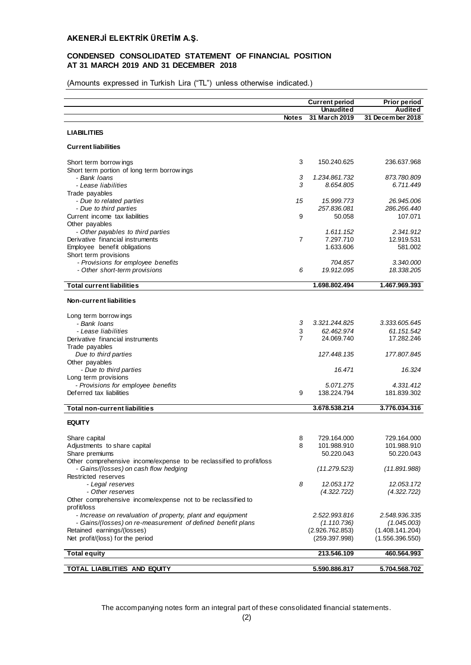## **CONDENSED CONSOLIDATED STATEMENT OF FINANCIAL POSITION AT 31 MARCH 2019 AND 31 DECEMBER 2018**

(Amounts expressed in Turkish Lira ("TL") unless otherwise indicated.)

|                                                                           |                | <b>Current period</b>       | <b>Prior period</b>         |
|---------------------------------------------------------------------------|----------------|-----------------------------|-----------------------------|
|                                                                           |                | Unaudited                   | Audited                     |
|                                                                           | <b>Notes</b>   | 31 March 2019               | 31 December 2018            |
|                                                                           |                |                             |                             |
| <b>LIABILITIES</b>                                                        |                |                             |                             |
| <b>Current liabilities</b>                                                |                |                             |                             |
|                                                                           | 3              | 150.240.625                 | 236.637.968                 |
| Short term borrow ings<br>Short term portion of long term borrowings      |                |                             |                             |
| - Bank Ioans                                                              | 3              | 1.234.861.732               | 873.780.809                 |
| - Lease liabilities                                                       | 3              | 8.654.805                   | 6.711.449                   |
| Trade payables                                                            |                |                             |                             |
| - Due to related parties                                                  | 15             | 15.999.773                  | 26.945.006                  |
| - Due to third parties                                                    |                | 257.836.081                 | 286.266.440                 |
| Current income tax liabilities                                            | 9              | 50.058                      | 107.071                     |
| Other payables                                                            |                |                             |                             |
| - Other payables to third parties                                         |                | 1.611.152                   | 2.341.912                   |
| Derivative financial instruments<br>Employee benefit obligations          | $\overline{7}$ | 7.297.710<br>1.633.606      | 12.919.531<br>581.002       |
| Short term provisions                                                     |                |                             |                             |
| - Provisions for employee benefits                                        |                | 704.857                     | 3.340.000                   |
| - Other short-term provisions                                             | 6              | 19.912.095                  | 18.338.205                  |
|                                                                           |                |                             |                             |
| <b>Total current liabilities</b>                                          |                | 1.698.802.494               | 1.467.969.393               |
| <b>Non-current liabilities</b>                                            |                |                             |                             |
|                                                                           |                |                             |                             |
| Long term borrow ings                                                     |                |                             |                             |
| - Bank Ioans<br>- Lease liabilities                                       | 3<br>3         | 3.321.244.825<br>62.462.974 | 3.333.605.645<br>61.151.542 |
| Derivative financial instruments                                          | $\overline{7}$ | 24.069.740                  | 17.282.246                  |
| Trade payables                                                            |                |                             |                             |
| Due to third parties                                                      |                | 127.448.135                 | 177.807.845                 |
| Other payables                                                            |                |                             |                             |
| - Due to third parties                                                    |                | 16.471                      | 16.324                      |
| Long term provisions                                                      |                |                             |                             |
| - Provisions for employee benefits                                        |                | 5.071.275                   | 4.331.412                   |
| Deferred tax liabilities                                                  | 9              | 138.224.794                 | 181.839.302                 |
| <b>Total non-current liabilities</b>                                      |                | 3.678.538.214               | 3.776.034.316               |
|                                                                           |                |                             |                             |
| <b>EQUITY</b>                                                             |                |                             |                             |
| Share capital                                                             | 8              | 729.164.000                 | 729.164.000                 |
| Adjustments to share capital                                              | 8              | 101.988.910                 | 101.988.910                 |
| Share premiums                                                            |                | 50.220.043                  | 50.220.043                  |
| Other comprehensive income/expense to be reclassified to profit/loss      |                |                             |                             |
| - Gains/(losses) on cash flow hedging                                     |                | (11.279.523)                | (11.891.988)                |
| Restricted reserves                                                       |                |                             |                             |
| - Legal reserves                                                          | 8              | 12.053.172                  | 12.053.172                  |
| - Other reserves                                                          |                | (4.322.722)                 | (4.322.722)                 |
| Other comprehensive income/expense not to be reclassified to              |                |                             |                             |
| profit/loss<br>- Increase on revaluation of property, plant and equipment |                | 2.522.993.816               | 2.548.936.335               |
| - Gains/(losses) on re-measurement of defined benefit plans               |                | (1.110.736)                 | (1.045.003)                 |
| Retained earnings/(losses)                                                |                | (2.926.762.853)             | (1.408.141.204)             |
| Net profit/(loss) for the period                                          |                | (259.397.998)               | (1.556.396.550)             |
|                                                                           |                |                             |                             |
| <b>Total equity</b>                                                       |                | 213.546.109                 | 460.564.993                 |
| TOTAL LIABILITIES AND EQUITY                                              |                | 5.590.886.817               | 5.704.568.702               |
|                                                                           |                |                             |                             |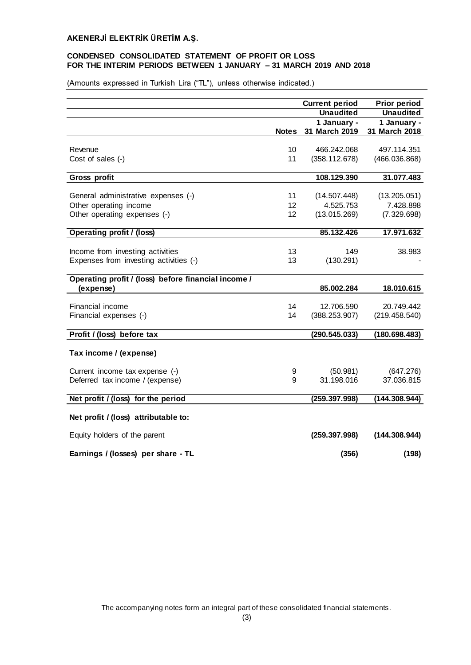## **CONDENSED CONSOLIDATED STATEMENT OF PROFIT OR LOSS FOR THE INTERIM PERIODS BETWEEN 1 JANUARY – 31 MARCH 2019 AND 2018**

(Amounts expressed in Turkish Lira ("TL"), unless otherwise indicated.)

|                                                     |              | <b>Current period</b> | <b>Prior period</b> |
|-----------------------------------------------------|--------------|-----------------------|---------------------|
|                                                     |              | <b>Unaudited</b>      | <b>Unaudited</b>    |
|                                                     |              | 1 January -           | 1 January -         |
|                                                     | <b>Notes</b> | 31 March 2019         | 31 March 2018       |
| Revenue                                             | 10           | 466.242.068           | 497.114.351         |
|                                                     |              |                       |                     |
| Cost of sales (-)                                   | 11           | (358.112.678)         | (466.036.868)       |
| Gross profit                                        |              | 108.129.390           | 31.077.483          |
|                                                     |              |                       |                     |
| General administrative expenses (-)                 | 11           | (14.507.448)          | (13.205.051)        |
| Other operating income                              | 12           | 4.525.753             | 7.428.898           |
| Other operating expenses (-)                        | 12           | (13.015.269)          | (7.329.698)         |
| <b>Operating profit / (loss)</b>                    |              | 85.132.426            | 17.971.632          |
|                                                     |              |                       |                     |
| Income from investing activities                    | 13           | 149                   | 38.983              |
| Expenses from investing activities (-)              | 13           | (130.291)             |                     |
| Operating profit / (loss) before financial income / |              |                       |                     |
| (expense)                                           |              | 85.002.284            | 18.010.615          |
| Financial income                                    | 14           | 12.706.590            | 20.749.442          |
| Financial expenses (-)                              | 14           | (388.253.907)         | (219.458.540)       |
|                                                     |              |                       |                     |
| Profit / (loss) before tax                          |              | (290.545.033)         | (180.698.483)       |
| Tax income / (expense)                              |              |                       |                     |
|                                                     |              |                       |                     |
| Current income tax expense (-)                      | 9            | (50.981)              | (647.276)           |
| Deferred tax income / (expense)                     | 9            | 31.198.016            | 37.036.815          |
| Net profit / (loss) for the period                  |              | (259.397.998)         | (144.308.944)       |
|                                                     |              |                       |                     |
| Net profit / (loss) attributable to:                |              |                       |                     |
| Equity holders of the parent                        |              | (259.397.998)         | (144.308.944)       |
| Earnings / (losses) per share - TL                  |              | (356)                 | (198)               |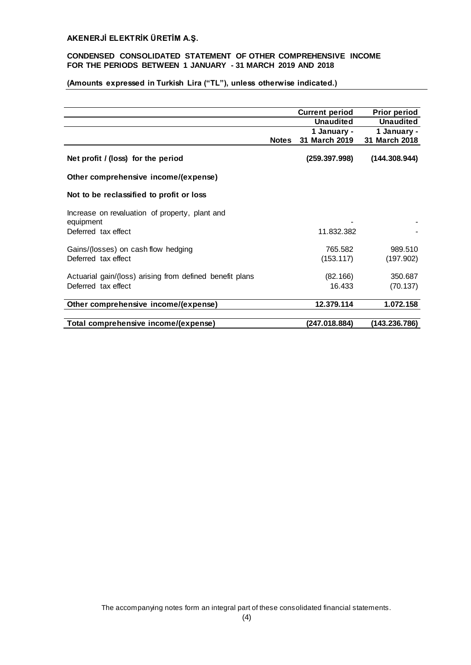## **CONDENSED CONSOLIDATED STATEMENT OF OTHER COMPREHENSIVE INCOME FOR THE PERIODS BETWEEN 1 JANUARY - 31 MARCH 2019 AND 2018**

# **(Amounts expressed in Turkish Lira ("TL"), unless otherwise indicated.)**

|                                                             |              | <b>Current period</b> | <b>Prior period</b> |
|-------------------------------------------------------------|--------------|-----------------------|---------------------|
|                                                             |              | <b>Unaudited</b>      | <b>Unaudited</b>    |
|                                                             |              | 1 January -           | 1 January -         |
|                                                             | <b>Notes</b> | 31 March 2019         | 31 March 2018       |
| Net profit / (loss) for the period                          |              | (259.397.998)         | (144.308.944)       |
| Other comprehensive income/(expense)                        |              |                       |                     |
| Not to be reclassified to profit or loss                    |              |                       |                     |
| Increase on revaluation of property, plant and<br>equipment |              |                       |                     |
| Deferred tax effect                                         |              | 11.832.382            |                     |
| Gains/(losses) on cash flow hedging                         |              | 765.582               | 989.510             |
| Deferred tax effect                                         |              | (153.117)             | (197.902)           |
| Actuarial gain/(loss) arising from defined benefit plans    |              | (82.166)              | 350.687             |
| Deferred tax effect                                         |              | 16.433                | (70.137)            |
| Other comprehensive income/(expense)                        |              | 12.379.114            | 1.072.158           |
| Total comprehensive income/(expense)                        |              | (247.018.884)         | (143.236.786)       |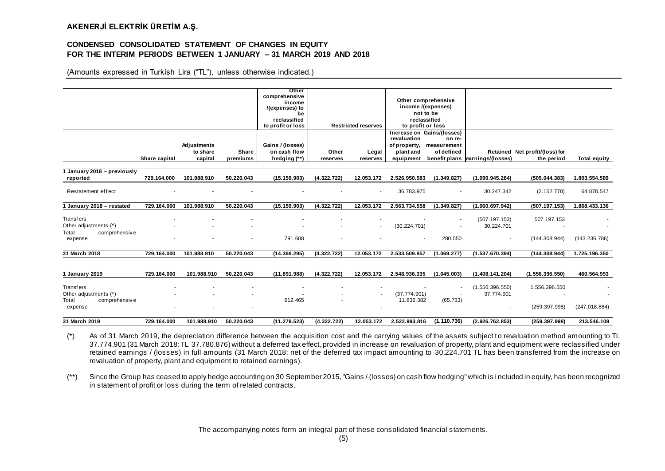#### **CONDENSED CONSOLIDATED STATEMENT OF CHANGES IN EQUITY FOR THE INTERIM PERIODS BETWEEN 1 JANUARY – 31 MARCH 2019 AND 2018**

(Amounts expressed in Turkish Lira ("TL"), unless otherwise indicated.)

|                             |               |             |            | Other                    |             |                            |                   |                            |                                           |                                |                     |
|-----------------------------|---------------|-------------|------------|--------------------------|-------------|----------------------------|-------------------|----------------------------|-------------------------------------------|--------------------------------|---------------------|
|                             |               |             |            | comprehensive            |             |                            |                   | Other comprehensive        |                                           |                                |                     |
|                             |               |             |            | income<br>/(expenses) to |             |                            |                   | income /(expenses)         |                                           |                                |                     |
|                             |               |             |            | be                       |             |                            |                   | not to be                  |                                           |                                |                     |
|                             |               |             |            | reclassified             |             |                            |                   | reclassified               |                                           |                                |                     |
|                             |               |             |            | to profit or loss        |             | <b>Restricted reserves</b> | to profit or loss |                            |                                           |                                |                     |
|                             |               |             |            |                          |             |                            |                   | Increase on Gains/(losses) |                                           |                                |                     |
|                             |               |             |            |                          |             |                            | revaluation       | on re-                     |                                           |                                |                     |
|                             |               | Adjustments |            | Gains / (losses)         |             |                            | of property,      | measurement                |                                           |                                |                     |
|                             |               | to share    | Share      | on cash flow             | Other       | Legal                      | plant and         | of defined                 |                                           | Retained Net profit/(loss) for |                     |
|                             | Share capital | capital     | premiums   | hedging (**)             | reserves    | reserves                   |                   |                            | equipment benefit plans earnings/(losses) | the period                     | <b>Total equity</b> |
|                             |               |             |            |                          |             |                            |                   |                            |                                           |                                |                     |
| 1 January 2018 – previously |               |             |            |                          |             |                            |                   |                            |                                           |                                |                     |
| reported                    | 729.164.000   | 101.988.910 | 50.220.043 | (15.159.903)             | (4.322.722) | 12.053.172                 | 2.526.950.583     | (1.349.827)                | (1.090.945.284)                           | (505.044.383)                  | 1.803.554.589       |
|                             |               |             |            |                          |             |                            |                   |                            |                                           |                                |                     |
| Restatement effect          |               |             |            |                          |             | $\overline{\phantom{a}}$   | 36.783.975        |                            | 30.247.342                                | (2.152.770)                    | 64.878.547          |
|                             |               |             |            |                          |             |                            |                   |                            |                                           |                                |                     |
| January 2018 - restated     | 729.164.000   | 101.988.910 | 50.220.043 | (15.159.903)             | (4.322.722) | 12.053.172                 | 2.563.734.558     | (1.349.827)                | (1.060.697.942)                           | (507.197.153)                  | 1.868.433.136       |
|                             |               |             |            |                          |             |                            |                   |                            |                                           |                                |                     |
| <b>Transfers</b>            |               |             |            |                          |             |                            |                   |                            | (507.197.153)                             | 507.197.153                    |                     |
| Other adjustments (*)       |               |             |            |                          |             | $\overline{\phantom{a}}$   | (30.224.701)      |                            | 30.224.701                                |                                |                     |
| Total<br>comprehensive      |               |             |            |                          |             |                            |                   |                            |                                           |                                |                     |
| expense                     |               |             | ٠          | 791.608                  |             |                            |                   | 280.550                    | $\sim$                                    | (144.308.944)                  | (143.236.786)       |
|                             |               |             |            |                          |             |                            |                   |                            |                                           |                                |                     |
| 31 March 2018               | 729.164.000   | 101.988.910 | 50.220.043 | (14.368.295)             | (4.322.722) | 12.053.172                 | 2.533.509.857     | (1.069.277)                | (1.537.670.394)                           | (144.308.944)                  | 1.725.196.350       |
|                             |               |             |            |                          |             |                            |                   |                            |                                           |                                |                     |
|                             |               |             |            |                          |             |                            |                   |                            |                                           |                                |                     |
| 1 January 2019              | 729.164.000   | 101.988.910 | 50.220.043 | (11.891.988)             | (4.322.722) | 12.053.172                 | 2.548.936.335     | (1.045.003)                | (1.408.141.204)                           | (1.556.396.550)                | 460.564.993         |
|                             |               |             |            |                          |             |                            |                   |                            |                                           |                                |                     |
| <b>Transfers</b>            |               |             |            |                          |             |                            |                   |                            | (1.556.396.550)                           | 1.556.396.550                  |                     |
| Other adjustments (*)       |               |             |            |                          |             |                            | (37.774.901)      |                            | 37.774.901                                |                                |                     |
| Total<br>comprehensive      |               |             |            | 612.465                  |             |                            | 11.832.382        | (65.733)                   |                                           |                                |                     |
|                             |               |             |            |                          |             |                            |                   |                            | $\sim$                                    | (259.397.998)                  | (247.018.884)       |
| expense                     |               |             |            |                          |             |                            |                   |                            |                                           |                                |                     |
|                             |               |             |            |                          |             |                            |                   |                            |                                           |                                |                     |
| 31 March 2019               | 729.164.000   | 101.988.910 | 50.220.043 | (11.279.523)             | (4.322.722) | 12.053.172                 | 2.522.993.816     | (1.110.736)                | (2.926.762.853)                           | (259.397.998)                  | 213.546.109         |

(\*) As of 31 March 2019, the depreciation difference between the acquisition cost and the carrying values of the assets subject to revaluation method amounting to TL 37.774.901 (31 March 2018: TL 37.780.876) without a deferred tax effect, provided in increase on revaluation of property, plant and equipment were reclassified under retained earnings / (losses) in full amounts (31 March 2018: net of the deferred tax impact amounting to 30.224.701 TL has been transferred from the increase on revaluation of property, plant and equipment to retained earnings).

(\*\*) Since the Group has ceased to apply hedge accounting on 30 September 2015, "Gains / (losses) on cash flow hedging" which is i ncluded in equity, has been recognized in statement of profit or loss during the term of related contracts.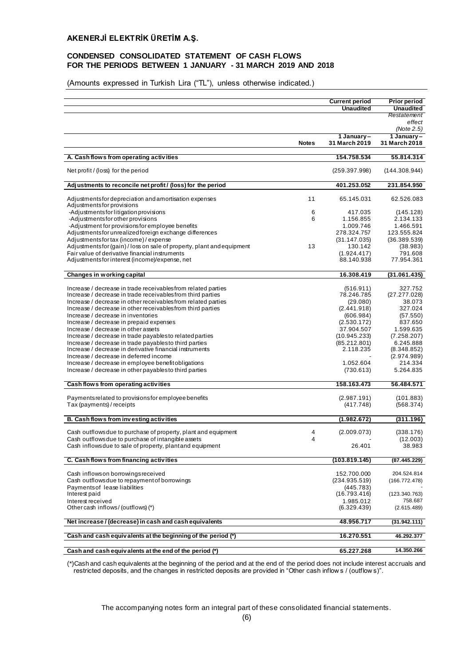## **CONDENSED CONSOLIDATED STATEMENT OF CASH FLOWS FOR THE PERIODS BETWEEN 1 JANUARY - 31 MARCH 2019 AND 2018**

(Amounts expressed in Turkish Lira ("TL"), unless otherwise indicated.)

|                                                                                                                              |              | <b>Current period</b><br><b>Unaudited</b> | Prior period<br><b>Unaudited</b> |
|------------------------------------------------------------------------------------------------------------------------------|--------------|-------------------------------------------|----------------------------------|
|                                                                                                                              |              |                                           | Restatement                      |
|                                                                                                                              |              |                                           | effect                           |
|                                                                                                                              |              | 1 January-                                | (Note 2.5)<br>1 January-         |
|                                                                                                                              | <b>Notes</b> | 31 March 2019                             | 31 March 2018                    |
|                                                                                                                              |              |                                           |                                  |
| A. Cash flows from operating activities                                                                                      |              | 154.758.534                               | 55.814.314                       |
| Net profit / (loss) for the period                                                                                           |              | (259.397.998)                             | (144.308.944)                    |
| Adjustments to reconcile net profit / (loss) for the period                                                                  |              | 401.253.052                               | 231.854.950                      |
| Adjustments for depreciation and amortisation expenses<br>Adjustments for provisions                                         | 11           | 65.145.031                                | 62.526.083                       |
| -Adjustments for litigation provisions                                                                                       | 6            | 417.035                                   | (145.128)                        |
| -Adjustments for other provisions                                                                                            | 6            | 1.156.855                                 | 2.134.133                        |
| -Adjustment for provisions for employee benefits<br>Adjustments for unrealized foreign exchange differences                  |              | 1.009.746<br>278.324.757                  | 1.466.591<br>123.555.824         |
| Adjustments for tax (income) / expense                                                                                       |              | (31.147.035)                              | (36.389.539)                     |
| Adjustments for (gain) / loss on sale of property, plant and equipment                                                       | 13           | 130.142                                   | (38.983)                         |
| Fair value of derivative financial instruments                                                                               |              | (1.924.417)                               | 791.608                          |
| Adjustments for interest (income)/expense, net                                                                               |              | 88.140.938                                | 77.954.361                       |
| Changes in working capital                                                                                                   |              | 16.308.419                                | (31.061.435)                     |
|                                                                                                                              |              |                                           |                                  |
| Increase / decrease in trade receivables from related parties<br>Increase / decrease in trade receivables from third parties |              | (516.911)<br>78.246.785                   | 327.752<br>(27.277.028)          |
| Increase / decrease in other receivables from related parties                                                                |              | (29.080)                                  | 38.073                           |
| Increase / decrease in other receivables from third parties                                                                  |              | (2.441.918)                               | 327.024                          |
| Increase / decrease in inventories                                                                                           |              | (606.984)                                 | (57.550)                         |
| Increase / decrease in prepaid expenses                                                                                      |              | (2.530.172)                               | 837.650                          |
| Increase / decrease in other assets                                                                                          |              | 37.904.507                                | 1.599.635                        |
| Increase / decrease in trade payables to related parties<br>Increase / decrease in trade payables to third parties           |              | (10.945.233)<br>(85.212.801)              | (7.258.207)<br>6.245.888         |
| Increase / decrease in derivative financial instruments                                                                      |              | 2.118.235                                 | (8.348.852)                      |
| Increase / decrease in deferred income                                                                                       |              |                                           | (2.974.989)                      |
| Increase / decrease in employee benefit obligations                                                                          |              | 1.052.604                                 | 214.334                          |
| Increase / decrease in other payables to third parties                                                                       |              | (730.613)                                 | 5.264.835                        |
| Cash flows from operating activities                                                                                         |              | 158.163.473                               | 56.484.571                       |
|                                                                                                                              |              |                                           |                                  |
| Payments related to provisions for employee benefits<br>Tax (payments) / receipts                                            |              | (2.987.191)<br>(417.748)                  | (101.883)<br>(568.374)           |
|                                                                                                                              |              |                                           |                                  |
| B. Cash flows from investing activities                                                                                      |              | (1.982.672)                               | (311.196)                        |
| Cash outflows due to purchase of property, plant and equipment                                                               | 4            | (2.009.073)                               | (338.176)                        |
| Cash outflows due to purchase of intangible assets                                                                           | 4            |                                           | (12.003)                         |
| Cash inflows due to sale of property, plant and equipment                                                                    |              | 26.401                                    | 38.983                           |
| C. Cash flows from financing activities                                                                                      |              | (103.819.145)                             | (87.445.229)                     |
|                                                                                                                              |              |                                           |                                  |
| Cash inflows on borrowings received<br>Cash outflows due to repayment of borrowings                                          |              | 152.700.000<br>(234.935.519)              | 204.524.814<br>(166.772.478)     |
| Payments of lease liabilities                                                                                                |              | (445.783)                                 |                                  |
| Interest paid                                                                                                                |              | (16.793.416)                              | (123.340.763)                    |
| Interest received                                                                                                            |              | 1.985.012                                 | 758.687                          |
| Other cash inflows/(outflows)(*)                                                                                             |              | (6.329.439)                               | (2.615.489)                      |
| Net increase / (decrease) in cash and cash equivalents                                                                       |              | 48.956.717                                | (31.942.111)                     |
| Cash and cash equiv alents at the beginning of the period (*)                                                                |              | 16.270.551                                | 46.292.377                       |
|                                                                                                                              |              |                                           |                                  |
| Cash and cash equivalents at the end of the period (*)                                                                       |              | 65.227.268                                | 14.350.266                       |

(\*)Cash and cash equivalents at the beginning of the period and at the end of the period does not include interest accruals and restricted deposits, and the changes in restricted deposits are provided in "Other cash inflow s / (outflow s)".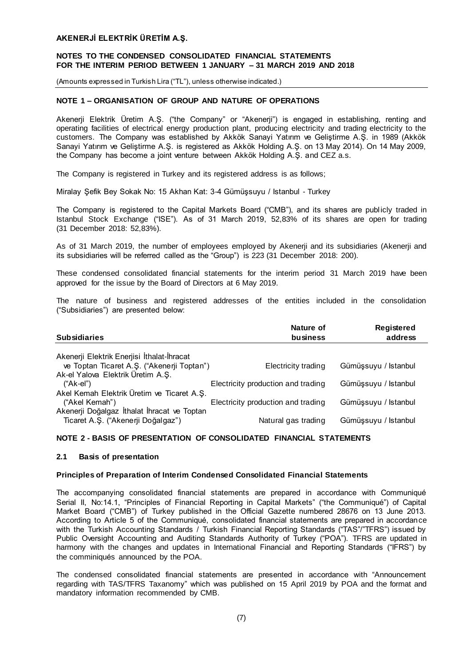## **NOTES TO THE CONDENSED CONSOLIDATED FINANCIAL STATEMENTS FOR THE INTERIM PERIOD BETWEEN 1 JANUARY – 31 MARCH 2019 AND 2018**

(Amounts expressed in Turkish Lira ("TL"), unless otherwise indicated.)

#### **NOTE 1 – ORGANISATION OF GROUP AND NATURE OF OPERATIONS**

Akenerji Elektrik Üretim A.Ş. ("the Company" or "Akenerji") is engaged in establishing, renting and operating facilities of electrical energy production plant, producing electricity and trading electricity to the customers. The Company was established by Akkök Sanayi Yatırım ve Geliştirme A.Ş. in 1989 (Akkök Sanayi Yatırım ve Geliştirme A.Ş. is registered as Akkök Holding A.Ş. on 13 May 2014). On 14 May 2009, the Company has become a joint venture between Akkök Holding A.Ş. and CEZ a.s.

The Company is registered in Turkey and its registered address is as follows;

Miralay Şefik Bey Sokak No: 15 Akhan Kat: 3-4 Gümüşsuyu / Istanbul - Turkey

The Company is registered to the Capital Markets Board ("CMB"), and its shares are publicly traded in Istanbul Stock Exchange ("ISE"). As of 31 March 2019, 52,83% of its shares are open for trading (31 December 2018: 52,83%).

As of 31 March 2019, the number of employees employed by Akenerji and its subsidiaries (Akenerji and its subsidiaries will be referred called as the "Group") is 223 (31 December 2018: 200).

These condensed consolidated financial statements for the interim period 31 March 2019 have been approved for the issue by the Board of Directors at 6 May 2019.

The nature of business and registered addresses of the entities included in the consolidation ("Subsidiaries") are presented below:

| <b>Subsidiaries</b>                         | Nature of<br>business              | Registered<br>address |
|---------------------------------------------|------------------------------------|-----------------------|
| Akenerji Elektrik Enerjisi İthalat-İhracat  |                                    |                       |
| ve Toptan Ticaret A.Ş. ("Akenerji Toptan")  | Electricity trading                | Gümüşsuyu / Istanbul  |
| Ak-el Yalova Elektrik Üretim A.S.           |                                    |                       |
| ("Ak-el")                                   | Electricity production and trading | Gümüşsuyu / Istanbul  |
| Akel Kemah Elektrik Üretim ve Ticaret A.S.  |                                    |                       |
| ("Akel Kemah")                              | Electricity production and trading | Gümüşsuyu / Istanbul  |
| Akenerji Doğalgaz İthalat İhracat ve Toptan |                                    |                       |
| Ticaret A.Ş. ("Akenerji Doğalgaz")          | Natural gas trading                | Gümüşsuyu / Istanbul  |

#### **NOTE 2 - BASIS OF PRESENTATION OF CONSOLIDATED FINANCIAL STATEMENTS**

#### **2.1 Basis of presentation**

#### **Principles of Preparation of Interim Condensed Consolidated Financial Statements**

The accompanying consolidated financial statements are prepared in accordance with Communiqué Serial II, No:14.1, "Principles of Financial Reporting in Capital Markets" ("the Communiqué") of Capital Market Board ("CMB") of Turkey published in the Official Gazette numbered 28676 on 13 June 2013. According to Article 5 of the Communiqué, consolidated financial statements are prepared in accordance with the Turkish Accounting Standards / Turkish Financial Reporting Standards ("TAS"/"TFRS") issued by Public Oversight Accounting and Auditing Standards Authority of Turkey ("POA"). TFRS are updated in harmony with the changes and updates in International Financial and Reporting Standards ("IFRS") by the comminiqués announced by the POA.

The condensed consolidated financial statements are presented in accordance with "Announcement regarding with TAS/TFRS Taxanomy" which was published on 15 April 2019 by POA and the format and mandatory information recommended by CMB.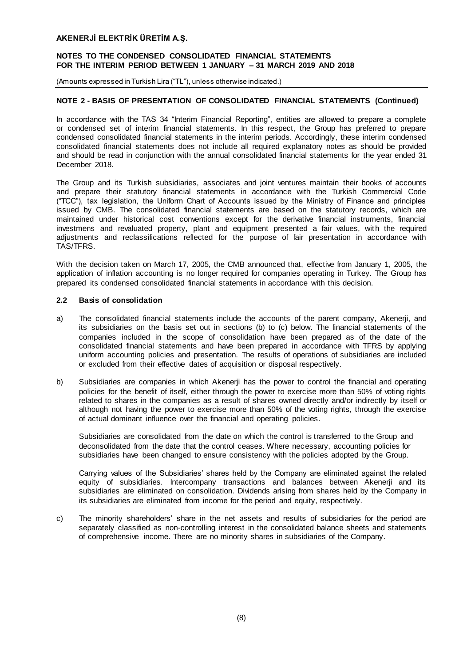## **NOTES TO THE CONDENSED CONSOLIDATED FINANCIAL STATEMENTS FOR THE INTERIM PERIOD BETWEEN 1 JANUARY – 31 MARCH 2019 AND 2018**

(Amounts expressed in Turkish Lira ("TL"), unless otherwise indicated.)

# **NOTE 2 - BASIS OF PRESENTATION OF CONSOLIDATED FINANCIAL STATEMENTS (Continued)**

In accordance with the TAS 34 "Interim Financial Reporting", entities are allowed to prepare a complete or condensed set of interim financial statements. In this respect, the Group has preferred to prepare condensed consolidated financial statements in the interim periods. Accordingly, these interim condensed consolidated financial statements does not include all required explanatory notes as should be provided and should be read in conjunction with the annual consolidated financial statements for the year ended 31 December 2018.

The Group and its Turkish subsidiaries, associates and joint ventures maintain their books of accounts and prepare their statutory financial statements in accordance with the Turkish Commercial Code ("TCC"), tax legislation, the Uniform Chart of Accounts issued by the Ministry of Finance and principles issued by CMB. The consolidated financial statements are based on the statutory records, which are maintained under historical cost conventions except for the derivative financial instruments, financial investmens and revaluated property, plant and equipment presented a fair values, with the required adjustments and reclassifications reflected for the purpose of fair presentation in accordance with TAS/TFRS.

With the decision taken on March 17, 2005, the CMB announced that, effective from January 1, 2005, the application of inflation accounting is no longer required for companies operating in Turkey. The Group has prepared its condensed consolidated financial statements in accordance with this decision.

#### **2.2 Basis of consolidation**

- a) The consolidated financial statements include the accounts of the parent company, Akenerji, and its subsidiaries on the basis set out in sections (b) to (c) below. The financial statements of the companies included in the scope of consolidation have been prepared as of the date of the consolidated financial statements and have been prepared in accordance with TFRS by applying uniform accounting policies and presentation. The results of operations of subsidiaries are included or excluded from their effective dates of acquisition or disposal respectively.
- b) Subsidiaries are companies in which Akenerji has the power to control the financial and operating policies for the benefit of itself, either through the power to exercise more than 50% of voting rights related to shares in the companies as a result of shares owned directly and/or indirectly by itself or although not having the power to exercise more than 50% of the voting rights, through the exercise of actual dominant influence over the financial and operating policies.

Subsidiaries are consolidated from the date on which the control is transferred to the Group and deconsolidated from the date that the control ceases. Where necessary, accounting policies for subsidiaries have been changed to ensure consistency with the policies adopted by the Group.

Carrying values of the Subsidiaries' shares held by the Company are eliminated against the related equity of subsidiaries. Intercompany transactions and balances between Akenerji and its subsidiaries are eliminated on consolidation. Dividends arising from shares held by the Company in its subsidiaries are eliminated from income for the period and equity, respectively.

c) The minority shareholders' share in the net assets and results of subsidiaries for the period are separately classified as non-controlling interest in the consolidated balance sheets and statements of comprehensive income. There are no minority shares in subsidiaries of the Company.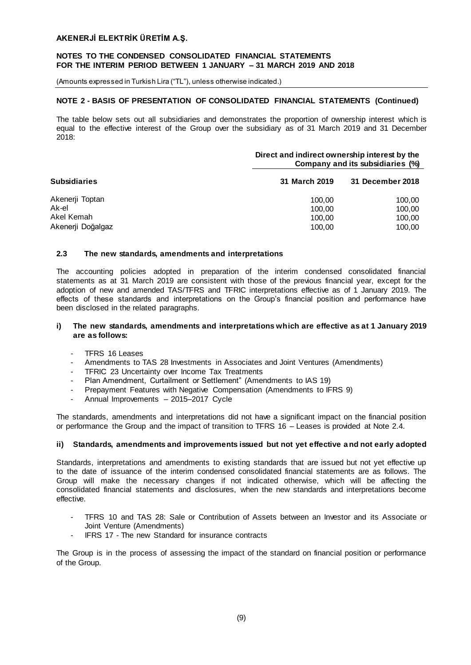#### **NOTES TO THE CONDENSED CONSOLIDATED FINANCIAL STATEMENTS FOR THE INTERIM PERIOD BETWEEN 1 JANUARY – 31 MARCH 2019 AND 2018**

(Amounts expressed in Turkish Lira ("TL"), unless otherwise indicated.)

## **NOTE 2 - BASIS OF PRESENTATION OF CONSOLIDATED FINANCIAL STATEMENTS (Continued)**

The table below sets out all subsidiaries and demonstrates the proportion of ownership interest which is equal to the effective interest of the Group over the subsidiary as of 31 March 2019 and 31 December 2018:

|                     | Direct and indirect ownership interest by the<br>Company and its subsidiaries (%) |                  |  |  |
|---------------------|-----------------------------------------------------------------------------------|------------------|--|--|
| <b>Subsidiaries</b> | 31 March 2019                                                                     | 31 December 2018 |  |  |
| Akenerji Toptan     | 100.00                                                                            | 100.00           |  |  |
| Ak-el               | 100.00                                                                            | 100,00           |  |  |
| Akel Kemah          | 100,00                                                                            | 100,00           |  |  |
| Akenerji Doğalgaz   | 100,00                                                                            | 100,00           |  |  |

#### **2.3 The new standards, amendments and interpretations**

The accounting policies adopted in preparation of the interim condensed consolidated financial statements as at 31 March 2019 are consistent with those of the previous financial year, except for the adoption of new and amended TAS/TFRS and TFRIC interpretations effective as of 1 January 2019. The effects of these standards and interpretations on the Group's financial position and performance have been disclosed in the related paragraphs.

#### **i) The new standards, amendments and interpretations which are effective as at 1 January 2019 are as follows:**

- TFRS 16 Leases
- Amendments to TAS 28 Investments in Associates and Joint Ventures (Amendments)
- TFRIC 23 Uncertainty over Income Tax Treatments
- [Plan Amendment, Curtailment or Settlement"](https://www.iasplus.com/en/news/2018/02/ias-19) (Amendments to IAS 19)
- Prepayment Features with Negative Compensation (Amendments to IFRS 9)
- Annual Improvements 2015–2017 Cycle

The standards, amendments and interpretations did not have a significant impact on the financial position or performance the Group and the impact of transition to TFRS 16 – Leases is provided at Note 2.4.

#### **ii) Standards, amendments and improvements issued but not yet effective a nd not early adopted**

Standards, interpretations and amendments to existing standards that are issued but not yet effective up to the date of issuance of the interim condensed consolidated financial statements are as follows. The Group will make the necessary changes if not indicated otherwise, which will be affecting the consolidated financial statements and disclosures, when the new standards and interpretations become effective.

- TFRS 10 and TAS 28: Sale or Contribution of Assets between an Investor and its Associate or Joint Venture (Amendments)
- IFRS 17 The new Standard for insurance contracts

The Group is in the process of assessing the impact of the standard on financial position or performance of the Group.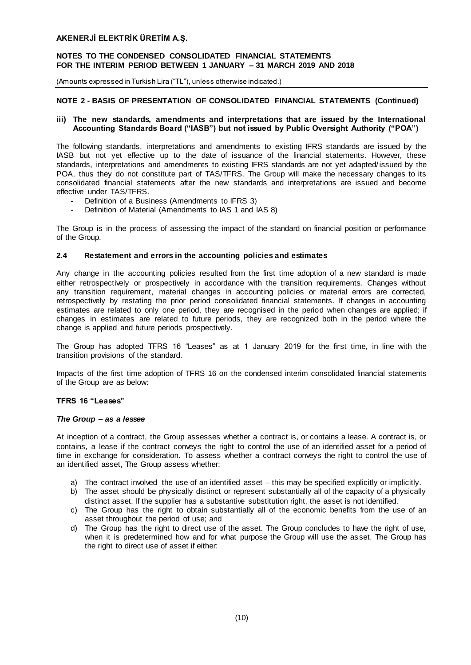## **NOTES TO THE CONDENSED CONSOLIDATED FINANCIAL STATEMENTS FOR THE INTERIM PERIOD BETWEEN 1 JANUARY – 31 MARCH 2019 AND 2018**

(Amounts expressed in Turkish Lira ("TL"), unless otherwise indicated.)

## **NOTE 2 - BASIS OF PRESENTATION OF CONSOLIDATED FINANCIAL STATEMENTS (Continued)**

#### **iii) The new standards, amendments and interpretations that are issued by the International Accounting Standards Board ("IASB") but not issued by Public Oversight Authority ("POA")**

The following standards, interpretations and amendments to existing IFRS standards are issued by the IASB but not yet effective up to the date of issuance of the financial statements. However, these standards, interpretations and amendments to existing IFRS standards are not yet adapted/issued by the POA, thus they do not constitute part of TAS/TFRS. The Group will make the necessary changes to its consolidated financial statements after the new standards and interpretations are issued and become effective under TAS/TFRS.

- Definition of a Business (Amendments to IFRS 3)
- Definition of Material (Amendments to IAS 1 and IAS 8)

The Group is in the process of assessing the impact of the standard on financial position or performance of the Group.

#### **2.4 Restatement and errors in the accounting policies and estimates**

Any change in the accounting policies resulted from the first time adoption of a new standard is made either retrospectively or prospectively in accordance with the transition requirements. Changes without any transition requirement, material changes in accounting policies or material errors are corrected, retrospectively by restating the prior period consolidated financial statements. If changes in accounting estimates are related to only one period, they are recognised in the period when changes are applied; if changes in estimates are related to future periods, they are recognized both in the period where the change is applied and future periods prospectively.

The Group has adopted TFRS 16 "Leases" as at 1 January 2019 for the first time, in line with the transition provisions of the standard.

Impacts of the first time adoption of TFRS 16 on the condensed interim consolidated financial statements of the Group are as below:

#### **TFRS 16 "Leases"**

#### *The Group – as a lessee*

At inception of a contract, the Group assesses whether a contract is, or contains a lease. A contract is, or contains, a lease if the contract conveys the right to control the use of an identified asset for a period of time in exchange for consideration. To assess whether a contract conveys the right to control the use of an identified asset, The Group assess whether:

- a) The contract involved the use of an identified asset this may be specified explicitly or implicitly.
- b) The asset should be physically distinct or represent substantially all of the capacity of a physically distinct asset. If the supplier has a substantive substitution right, the asset is not identified.
- c) The Group has the right to obtain substantially all of the economic benefits from the use of an asset throughout the period of use; and
- d) The Group has the right to direct use of the asset. The Group concludes to have the right of use, when it is predetermined how and for what purpose the Group will use the asset. The Group has the right to direct use of asset if either: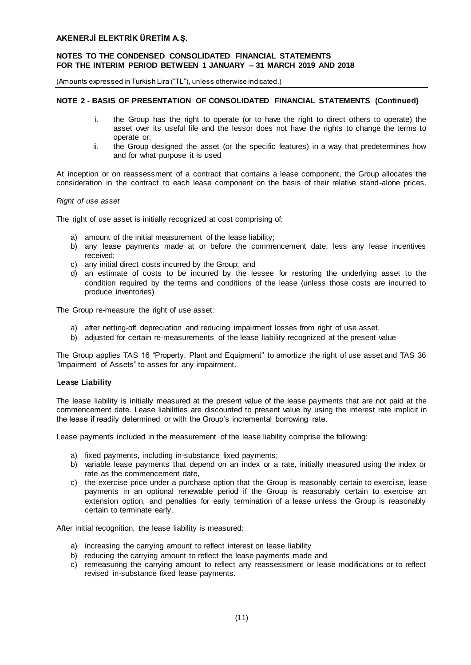(Amounts expressed in Turkish Lira ("TL"), unless otherwise indicated.)

## **NOTE 2 - BASIS OF PRESENTATION OF CONSOLIDATED FINANCIAL STATEMENTS (Continued)**

- i. the Group has the right to operate (or to have the right to direct others to operate) the asset over its useful life and the lessor does not have the rights to change the terms to operate or;
- ii. the Group designed the asset (or the specific features) in a way that predetermines how and for what purpose it is used

At inception or on reassessment of a contract that contains a lease component, the Group allocates the consideration in the contract to each lease component on the basis of their relative stand-alone prices.

#### *Right of use asset*

The right of use asset is initially recognized at cost comprising of:

- a) amount of the initial measurement of the lease liability;
- b) any lease payments made at or before the commencement date, less any lease incentives received;
- c) any initial direct costs incurred by the Group; and
- d) an estimate of costs to be incurred by the lessee for restoring the underlying asset to the condition required by the terms and conditions of the lease (unless those costs are incurred to produce inventories)

The Group re-measure the right of use asset:

- a) after netting-off depreciation and reducing impairment losses from right of use asset,
- b) adjusted for certain re-measurements of the lease liability recognized at the present value

The Group applies TAS 16 "Property, Plant and Equipment" to amortize the right of use asset and TAS 36 "Impairment of Assets" to asses for any impairment.

#### **Lease Liability**

The lease liability is initially measured at the present value of the lease payments that are not paid at the commencement date. Lease liabilities are discounted to present value by using the interest rate implicit in the lease if readily determined or with the Group's incremental borrowing rate.

Lease payments included in the measurement of the lease liability comprise the following:

- a) fixed payments, including in-substance fixed payments;
- b) variable lease payments that depend on an index or a rate, initially measured using the index or rate as the commencement date,
- c) the exercise price under a purchase option that the Group is reasonably certain to exercise, lease payments in an optional renewable period if the Group is reasonably certain to exercise an extension option, and penalties for early termination of a lease unless the Group is reasonably certain to terminate early.

After initial recognition, the lease liability is measured:

- a) increasing the carrying amount to reflect interest on lease liability
- b) reducing the carrying amount to reflect the lease payments made and
- c) remeasuring the carrying amount to reflect any reassessment or lease modifications or to reflect revised in-substance fixed lease payments.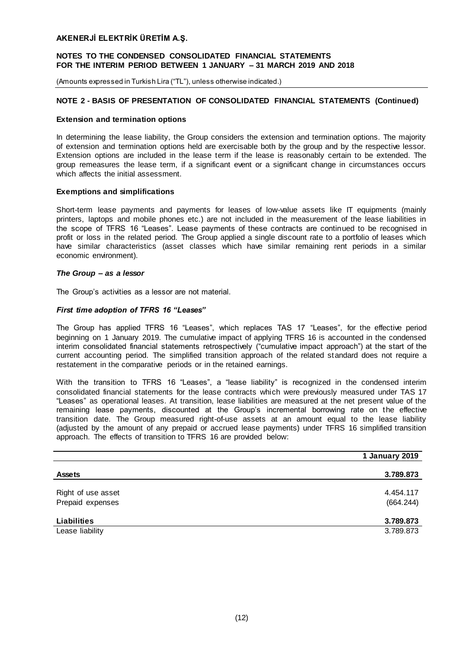#### **NOTES TO THE CONDENSED CONSOLIDATED FINANCIAL STATEMENTS FOR THE INTERIM PERIOD BETWEEN 1 JANUARY – 31 MARCH 2019 AND 2018**

(Amounts expressed in Turkish Lira ("TL"), unless otherwise indicated.)

## **NOTE 2 - BASIS OF PRESENTATION OF CONSOLIDATED FINANCIAL STATEMENTS (Continued)**

#### **Extension and termination options**

In determining the lease liability, the Group considers the extension and termination options. The majority of extension and termination options held are exercisable both by the group and by the respective lessor. Extension options are included in the lease term if the lease is reasonably certain to be extended. The group remeasures the lease term, if a significant event or a significant change in circumstances occurs which affects the initial assessment.

#### **Exemptions and simplifications**

Short-term lease payments and payments for leases of low-value assets like IT equipments (mainly printers, laptops and mobile phones etc.) are not included in the measurement of the lease liabilities in the scope of TFRS 16 "Leases". Lease payments of these contracts are continued to be recognised in profit or loss in the related period. The Group applied a single discount rate to a portfolio of leases which have similar characteristics (asset classes which have similar remaining rent periods in a similar economic environment).

#### *The Group – as a lessor*

The Group's activities as a lessor are not material.

#### *First time adoption of TFRS 16 "Leases"*

The Group has applied TFRS 16 "Leases", which replaces TAS 17 "Leases", for the effective period beginning on 1 January 2019. The cumulative impact of applying TFRS 16 is accounted in the condensed interim consolidated financial statements retrospectively ("cumulative impact approach") at the start of the current accounting period. The simplified transition approach of the related standard does not require a restatement in the comparative periods or in the retained earnings.

With the transition to TFRS 16 "Leases", a "lease liability" is recognized in the condensed interim consolidated financial statements for the lease contracts which were previously measured under TAS 17 "Leases" as operational leases. At transition, lease liabilities are measured at the net present value of the remaining lease payments, discounted at the Group's incremental borrowing rate on the effective transition date. The Group measured right-of-use assets at an amount equal to the lease liability (adjusted by the amount of any prepaid or accrued lease payments) under TFRS 16 simplified transition approach. The effects of transition to TFRS 16 are provided below:

|                    | 1 January 2019 |
|--------------------|----------------|
|                    |                |
| <b>Assets</b>      | 3.789.873      |
|                    |                |
| Right of use asset | 4.454.117      |
| Prepaid expenses   | (664.244)      |
|                    |                |
| <b>Liabilities</b> | 3.789.873      |
| Lease liability    | 3.789.873      |
|                    |                |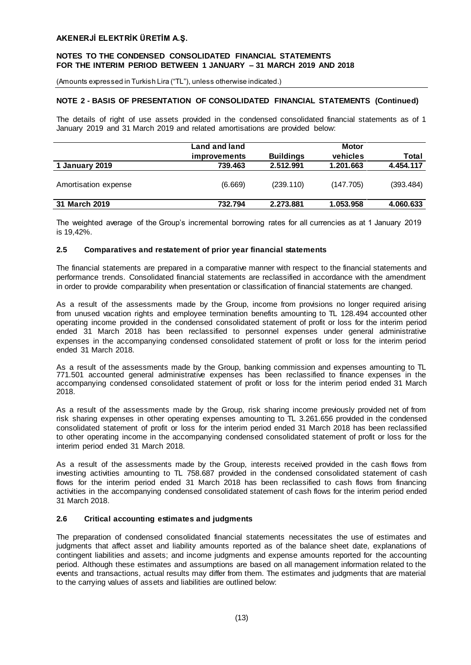## **NOTES TO THE CONDENSED CONSOLIDATED FINANCIAL STATEMENTS FOR THE INTERIM PERIOD BETWEEN 1 JANUARY – 31 MARCH 2019 AND 2018**

(Amounts expressed in Turkish Lira ("TL"), unless otherwise indicated.)

# **NOTE 2 - BASIS OF PRESENTATION OF CONSOLIDATED FINANCIAL STATEMENTS (Continued)**

The details of right of use assets provided in the condensed consolidated financial statements as of 1 January 2019 and 31 March 2019 and related amortisations are provided below:

|                      | Land and land       |                  | <b>Motor</b> |           |
|----------------------|---------------------|------------------|--------------|-----------|
|                      | <i>improvements</i> | <b>Buildings</b> | vehicles     | Total     |
| 1 January 2019       | 739.463             | 2.512.991        | 1.201.663    | 4.454.117 |
| Amortisation expense | (6.669)             | (239.110)        | (147.705)    | (393.484) |
| 31 March 2019        | 732.794             | 2.273.881        | 1.053.958    | 4.060.633 |

The weighted average of the Group's incremental borrowing rates for all currencies as at 1 January 2019 is 19,42%.

#### **2.5 Comparatives and restatement of prior year financial statements**

The financial statements are prepared in a comparative manner with respect to the financial statements and performance trends. Consolidated financial statements are reclassified in accordance with the amendment in order to provide comparability when presentation or classification of financial statements are changed.

As a result of the assessments made by the Group, income from provisions no longer required arising from unused vacation rights and employee termination benefits amounting to TL 128.494 accounted other operating income provided in the condensed consolidated statement of profit or loss for the interim period ended 31 March 2018 has been reclassified to personnel expenses under general administrative expenses in the accompanying condensed consolidated statement of profit or loss for the interim period ended 31 March 2018.

As a result of the assessments made by the Group, banking commission and expenses amounting to TL 771.501 accounted general administrative expenses has been reclassified to finance expenses in the accompanying condensed consolidated statement of profit or loss for the interim period ended 31 March 2018.

As a result of the assessments made by the Group, risk sharing income previously provided net of from risk sharing expenses in other operating expenses amounting to TL 3.261.656 provided in the condensed consolidated statement of profit or loss for the interim period ended 31 March 2018 has been reclassified to other operating income in the accompanying condensed consolidated statement of profit or loss for the interim period ended 31 March 2018.

As a result of the assessments made by the Group, interests received provided in the cash flows from investing activities amounting to TL 758.687 provided in the condensed consolidated statement of cash flows for the interim period ended 31 March 2018 has been reclassified to cash flows from financing activities in the accompanying condensed consolidated statement of cash flows for the interim period ended 31 March 2018.

#### **2.6 Critical accounting estimates and judgments**

The preparation of condensed consolidated financial statements necessitates the use of estimates and judgments that affect asset and liability amounts reported as of the balance sheet date, explanations of contingent liabilities and assets; and income judgments and expense amounts reported for the accounting period. Although these estimates and assumptions are based on all management information related to the events and transactions, actual results may differ from them. The estimates and judgments that are material to the carrying values of assets and liabilities are outlined below: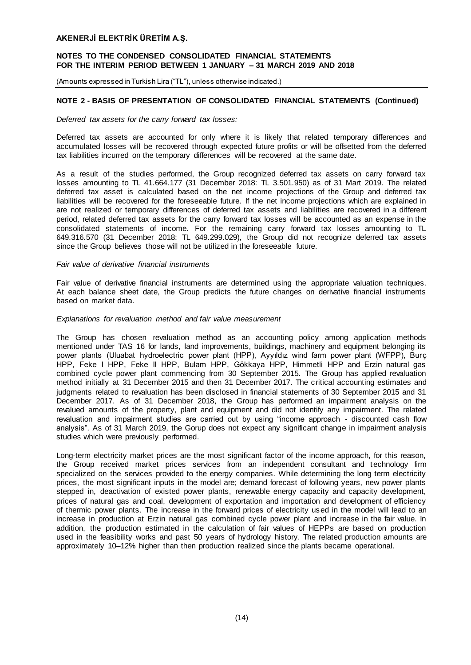## **NOTES TO THE CONDENSED CONSOLIDATED FINANCIAL STATEMENTS FOR THE INTERIM PERIOD BETWEEN 1 JANUARY – 31 MARCH 2019 AND 2018**

(Amounts expressed in Turkish Lira ("TL"), unless otherwise indicated.)

# **NOTE 2 - BASIS OF PRESENTATION OF CONSOLIDATED FINANCIAL STATEMENTS (Continued)**

#### *Deferred tax assets for the carry forward tax losses:*

Deferred tax assets are accounted for only where it is likely that related temporary differences and accumulated losses will be recovered through expected future profits or will be offsetted from the deferred tax liabilities incurred on the temporary differences will be recovered at the same date.

As a result of the studies performed, the Group recognized deferred tax assets on carry forward tax losses amounting to TL 41.664.177 (31 December 2018: TL 3.501.950) as of 31 Mart 2019. The related deferred tax asset is calculated based on the net income projections of the Group and deferred tax liabilities will be recovered for the foreseeable future. If the net income projections which are explained in are not realized or temporary differences of deferred tax assets and liabilities are recovered in a different period, related deferred tax assets for the carry forward tax losses will be accounted as an expense in the consolidated statements of income. For the remaining carry forward tax losses amounting to TL 649.316.570 (31 December 2018: TL 649.299.029), the Group did not recognize deferred tax assets since the Group believes those will not be utilized in the foreseeable future.

#### *Fair value of derivative financial instruments*

Fair value of derivative financial instruments are determined using the appropriate valuation techniques. At each balance sheet date, the Group predicts the future changes on derivative financial instruments based on market data.

#### *Explanations for revaluation method and fair value measurement*

The Group has chosen revaluation method as an accounting policy among application methods mentioned under TAS 16 for lands, land improvements, buildings, machinery and equipment belonging its power plants (Uluabat hydroelectric power plant (HPP), Ayyıldız wind farm power plant (WFPP), Burç HPP, Feke I HPP, Feke II HPP, Bulam HPP, Gökkaya HPP, Himmetli HPP and Erzin natural gas combined cycle power plant commencing from 30 September 2015. The Group has applied revaluation method initially at 31 December 2015 and then 31 December 2017. The critical accounting estimates and judgments related to revaluation has been disclosed in financial statements of 30 September 2015 and 31 December 2017. As of 31 December 2018, the Group has performed an impairment analysis on the revalued amounts of the property, plant and equipment and did not identify any impairment. The related revaluation and impairment studies are carried out by using "income approach - discounted cash flow analysis". As of 31 March 2019, the Gorup does not expect any significant change in impairment analysis studies which were previously performed.

Long-term electricity market prices are the most significant factor of the income approach, for this reason, the Group received market prices services from an independent consultant and technology firm specialized on the services provided to the energy companies. While determining the long term electricity prices, the most significant inputs in the model are; demand forecast of following years, new power plants stepped in, deactivation of existed power plants, renewable energy capacity and capacity development, prices of natural gas and coal, development of exportation and importation and development of efficiency of thermic power plants. The increase in the forward prices of electricity used in the model will lead to an increase in production at Erzin natural gas combined cycle power plant and increase in the fair value. In addition, the production estimated in the calculation of fair values of HEPPs are based on production used in the feasibility works and past 50 years of hydrology history. The related production amounts are approximately 10–12% higher than then production realized since the plants became operational.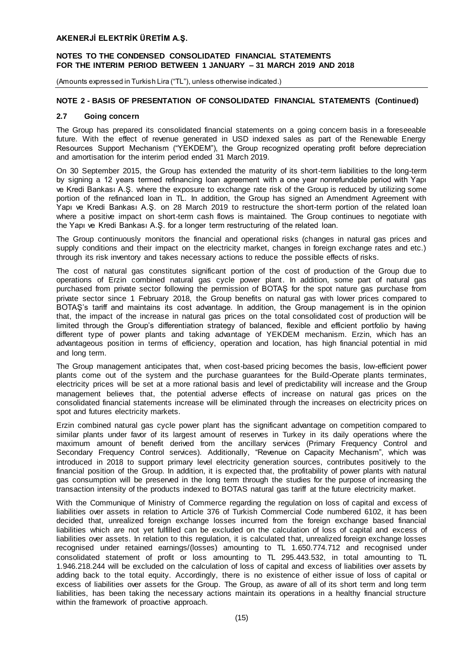#### **NOTES TO THE CONDENSED CONSOLIDATED FINANCIAL STATEMENTS FOR THE INTERIM PERIOD BETWEEN 1 JANUARY – 31 MARCH 2019 AND 2018**

(Amounts expressed in Turkish Lira ("TL"), unless otherwise indicated.)

# **NOTE 2 - BASIS OF PRESENTATION OF CONSOLIDATED FINANCIAL STATEMENTS (Continued)**

#### **2.7 Going concern**

The Group has prepared its consolidated financial statements on a going concern basis in a foreseeable future. With the effect of revenue generated in USD indexed sales as part of the Renewable Energy Resources Support Mechanism ("YEKDEM"), the Group recognized operating profit before depreciation and amortisation for the interim period ended 31 March 2019.

On 30 September 2015, the Group has extended the maturity of its short-term liabilities to the long-term by signing a 12 years termed refinancing loan agreement with a one year nonrefundable period with Yapı ve Kredi Bankası A.Ş. where the exposure to exchange rate risk of the Group is reduced by utilizing some portion of the refinanced loan in TL. In addition, the Group has signed an Amendment Agreement with Yapı ve Kredi Bankası A.Ş. on 28 March 2019 to restructure the short-term portion of the related loan where a positive impact on short-term cash flows is maintained. The Group continues to negotiate with the Yapı ve Kredi Bankası A.Ş. for a longer term restructuring of the related loan.

The Group continuously monitors the financial and operational risks (changes in natural gas prices and supply conditions and their impact on the electricity market, changes in foreign exchange rates and etc.) through its risk inventory and takes necessary actions to reduce the possible effects of risks.

The cost of natural gas constitutes significant portion of the cost of production of the Group due to operations of Erzin combined natural gas cycle power plant. In addition, some part of natural gas purchased from private sector following the permission of BOTAŞ for the spot nature gas purchase from private sector since 1 February 2018, the Group benefits on natural gas with lower prices compared to BOTAŞ's tariff and maintains its cost advantage. In addition, the Group management is in the opinion that, the impact of the increase in natural gas prices on the total consolidated cost of production will be limited through the Group's differentiation strategy of balanced, flexible and efficient portfolio by having different type of power plants and taking advantage of YEKDEM mechanism. Erzin, which has an advantageous position in terms of efficiency, operation and location, has high financial potential in mid and long term.

The Group management anticipates that, when cost-based pricing becomes the basis, low-efficient power plants come out of the system and the purchase guarantees for the Build-Operate plants terminates, electricity prices will be set at a more rational basis and level of predictability will increase and the Group management believes that, the potential adverse effects of increase on natural gas prices on the consolidated financial statements increase will be eliminated through the increases on electricity prices on spot and futures electricity markets.

Erzin combined natural gas cycle power plant has the significant advantage on competition compared to similar plants under favor of its largest amount of reserves in Turkey in its daily operations where the maximum amount of benefit derived from the ancillary services (Primary Frequency Control and Secondary Frequency Control services). Additionally, "Revenue on Capacity Mechanism", which was introduced in 2018 to support primary level electricity generation sources, contributes positively to the financial position of the Group. In addition, it is expected that, the profitability of power plants with natural gas consumption will be preserved in the long term through the studies for the purpose of increasing the transaction intensity of the products indexed to BOTAS natural gas tariff at the future electricity market.

With the Communique of Ministry of Commerce regarding the regulation on loss of capital and excess of liabilities over assets in relation to Article 376 of Turkish Commercial Code numbered 6102, it has been decided that, unrealized foreign exchange losses incurred from the foreign exchange based financial liabilities which are not yet fulfilled can be excluded on the calculation of loss of capital and excess of liabilities over assets. In relation to this regulation, it is calculated that, unrealized foreign exchange losses recognised under retained earnings/(losses) amounting to TL 1.650.774.712 and recognised under consolidated statement of profit or loss amounting to TL 295.443.532, in total amounting to TL 1.946.218.244 will be excluded on the calculation of loss of capital and excess of liabilities over assets by adding back to the total equity. Accordingly, there is no existence of either issue of loss of capital or excess of liabilities over assets for the Group. The Group, as aware of all of its short term and long term liabilities, has been taking the necessary actions maintain its operations in a healthy financial structure within the framework of proactive approach.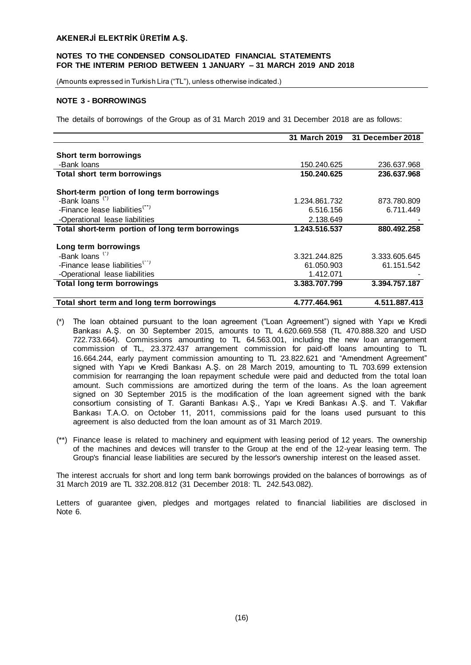## **NOTES TO THE CONDENSED CONSOLIDATED FINANCIAL STATEMENTS FOR THE INTERIM PERIOD BETWEEN 1 JANUARY – 31 MARCH 2019 AND 2018**

(Amounts expressed in Turkish Lira ("TL"), unless otherwise indicated.)

#### **NOTE 3 - BORROWINGS**

The details of borrowings of the Group as of 31 March 2019 and 31 December 2018 are as follows:

|                                                  | 31 March 2019 | 31 December 2018 |
|--------------------------------------------------|---------------|------------------|
|                                                  |               |                  |
| Short term borrowings                            |               |                  |
| -Bank loans                                      | 150.240.625   | 236.637.968      |
| Total short term borrowings                      | 150.240.625   | 236.637.968      |
| Short-term portion of long term borrowings       |               |                  |
| -Bank loans <sup>(*)</sup>                       | 1.234.861.732 | 873.780.809      |
| -Finance lease liabilities <sup>(**)</sup>       | 6.516.156     | 6.711.449        |
| -Operational lease liabilities                   | 2.138.649     |                  |
| Total short-term portion of long term borrowings | 1.243.516.537 | 880.492.258      |
| Long term borrowings                             |               |                  |
| -Bank loans <sup>(*)</sup>                       | 3.321.244.825 | 3.333.605.645    |
| -Finance lease liabilities <sup>(**)</sup>       | 61.050.903    | 61.151.542       |
| -Operational lease liabilities                   | 1.412.071     |                  |
| <b>Total long term borrowings</b>                | 3.383.707.799 | 3.394.757.187    |
| Total short term and long term borrowings        | 4.777.464.961 | 4.511.887.413    |

- (\*) The loan obtained pursuant to the loan agreement ("Loan Agreement") signed with Yapı ve Kredi Bankası A.Ş. on 30 September 2015, amounts to TL 4.620.669.558 (TL 470.888.320 and USD 722.733.664). Commissions amounting to TL 64.563.001, including the new loan arrangement commission of TL, 23.372.437 arrangement commission for paid-off loans amounting to TL 16.664.244, early payment commission amounting to TL 23.822.621 and "Amendment Agreement" signed with Yapı ve Kredi Bankası A.Ş. on 28 March 2019, amounting to TL 703.699 extension commision for rearranging the loan repayment schedule were paid and deducted from the total loan amount. Such commissions are amortized during the term of the loans. As the loan agreement signed on 30 September 2015 is the modification of the loan agreement signed with the bank consortium consisting of T. Garanti Bankası A.Ş., Yapı ve Kredi Bankası A.Ş. and T. Vakıflar Bankası T.A.O. on October 11, 2011, commissions paid for the loans used pursuant to this agreement is also deducted from the loan amount as of 31 March 2019.
- (\*\*) Finance lease is related to machinery and equipment with leasing period of 12 years. The ownership of the machines and devices will transfer to the Group at the end of the 12-year leasing term. The Group's financial lease liabilities are secured by the lessor's ownership interest on the leased asset.

The interest accruals for short and long term bank borrowings provided on the balances of borrowings as of 31 March 2019 are TL 332.208.812 (31 December 2018: TL 242.543.082).

Letters of guarantee given, pledges and mortgages related to financial liabilities are disclosed in Note 6.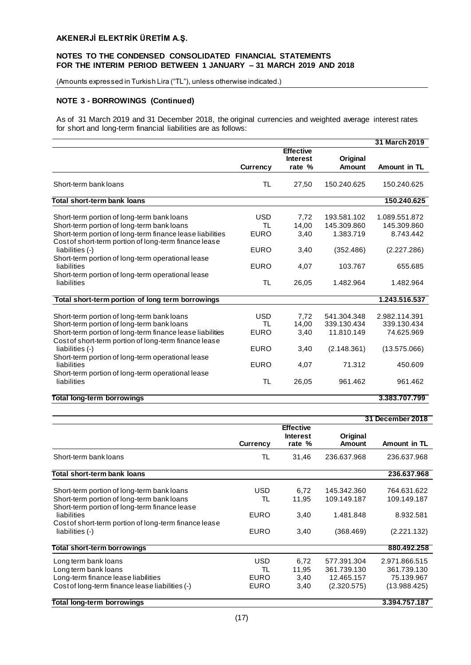(Amounts expressed in Turkish Lira ("TL"), unless otherwise indicated.)

# **NOTE 3 - BORROWINGS (Continued)**

As of 31 March 2019 and 31 December 2018, the original currencies and weighted average interest rates for short and long-term financial liabilities are as follows:

|                                                                                                                                                       |                                        |                                     |                                          | 31 March 2019                              |
|-------------------------------------------------------------------------------------------------------------------------------------------------------|----------------------------------------|-------------------------------------|------------------------------------------|--------------------------------------------|
|                                                                                                                                                       |                                        | <b>Effective</b><br><b>Interest</b> | Original                                 |                                            |
|                                                                                                                                                       | <b>Currency</b>                        | rate %                              | Amount                                   | Amount in TL                               |
| Short-term bank loans                                                                                                                                 | <b>TL</b>                              | 27,50                               | 150.240.625                              | 150.240.625                                |
| Total short-term bank loans                                                                                                                           |                                        |                                     |                                          | 150.240.625                                |
| Short-term portion of long-term bank loans<br>Short-term portion of long-term bank loans                                                              | <b>USD</b><br>TL                       | 7,72<br>14.00                       | 193.581.102<br>145.309.860               | 1.089.551.872<br>145.309.860               |
| Short-term portion of long-term finance lease liabilities<br>Cost of short-term portion of long-term finance lease                                    | <b>EURO</b>                            | 3,40                                | 1.383.719                                | 8.743.442                                  |
| liabilities (-)<br>Short-term portion of long-term operational lease                                                                                  | <b>EURO</b>                            | 3,40                                | (352.486)                                | (2.227.286)                                |
| liabilities                                                                                                                                           | <b>EURO</b>                            | 4,07                                | 103.767                                  | 655.685                                    |
| Short-term portion of long-term operational lease<br>liabilities                                                                                      | <b>TL</b>                              | 26,05                               | 1.482.964                                | 1.482.964                                  |
| Total short-term portion of long term borrowings                                                                                                      |                                        |                                     |                                          | 1.243.516.537                              |
| Short-term portion of long-term bank loans<br>Short-term portion of long-term bank loans<br>Short-term portion of long-term finance lease liabilities | <b>USD</b><br><b>TL</b><br><b>EURO</b> | 7,72<br>14,00<br>3,40               | 541.304.348<br>339.130.434<br>11.810.149 | 2.982.114.391<br>339.130.434<br>74.625.969 |
| Cost of short-term portion of long-term finance lease<br>liabilities (-)                                                                              | <b>EURO</b>                            | 3,40                                | (2.148.361)                              | (13.575.066)                               |
| Short-term portion of long-term operational lease<br>liabilities<br>Short-term portion of long-term operational lease                                 | <b>EURO</b>                            | 4,07                                | 71.312                                   | 450.609                                    |
| liabilities                                                                                                                                           | <b>TL</b>                              | 26,05                               | 961.462                                  | 961.462                                    |
| Total long-term borrowings                                                                                                                            |                                        |                                     |                                          | 3.383.707.799                              |

|                                                                                                                                                          |                                         |                                               |                                                         | 31 December 2018                                           |
|----------------------------------------------------------------------------------------------------------------------------------------------------------|-----------------------------------------|-----------------------------------------------|---------------------------------------------------------|------------------------------------------------------------|
|                                                                                                                                                          | <b>Currency</b>                         | <b>Effective</b><br><b>Interest</b><br>rate % | Original<br><b>Amount</b>                               | Amount in TL                                               |
| Short-term bank loans                                                                                                                                    | TL                                      | 31,46                                         | 236.637.968                                             | 236.637.968                                                |
| Total short-term bank loans                                                                                                                              |                                         |                                               |                                                         | 236.637.968                                                |
| Short-term portion of long-term bank loans<br>Short-term portion of long-term bank loans<br>Short-term portion of long-term finance lease<br>liabilities | <b>USD</b><br>TL<br><b>EURO</b>         | 6,72<br>11,95<br>3,40                         | 145.342.360<br>109.149.187<br>1.481.848                 | 764.631.622<br>109.149.187<br>8.932.581                    |
| Cost of short-term portion of long-term finance lease<br>liabilities (-)                                                                                 | <b>EURO</b>                             | 3,40                                          | (368.469)                                               | (2.221.132)                                                |
| Total short-term borrowings                                                                                                                              |                                         |                                               |                                                         | 880.492.258                                                |
| Long term bank loans<br>Long term bank loans<br>Long-term finance lease liabilities<br>Cost of long-term finance lease liabilities (-)                   | <b>USD</b><br>TL<br><b>EURO</b><br>EURO | 6,72<br>11,95<br>3,40<br>3,40                 | 577.391.304<br>361.739.130<br>12.465.157<br>(2.320.575) | 2.971.866.515<br>361.739.130<br>75.139.967<br>(13.988.425) |
| Total long-term borrowings                                                                                                                               |                                         |                                               |                                                         | 3.394.757.187                                              |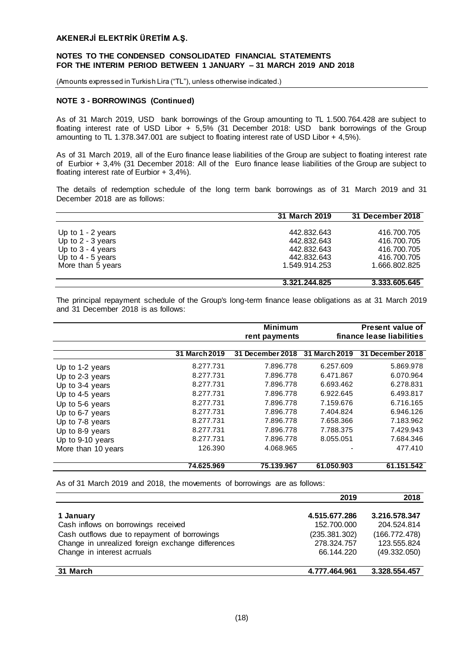## **NOTES TO THE CONDENSED CONSOLIDATED FINANCIAL STATEMENTS FOR THE INTERIM PERIOD BETWEEN 1 JANUARY – 31 MARCH 2019 AND 2018**

(Amounts expressed in Turkish Lira ("TL"), unless otherwise indicated.)

## **NOTE 3 - BORROWINGS (Continued)**

As of 31 March 2019, USD bank borrowings of the Group amounting to TL 1.500.764.428 are subject to floating interest rate of USD Libor + 5,5% (31 December 2018: USD bank borrowings of the Group amounting to TL 1.378.347.001 are subject to floating interest rate of USD Libor + 4,5%).

As of 31 March 2019, all of the Euro finance lease liabilities of the Group are subject to floating interest rate of Eurbior + 3,4% (31 December 2018: All of the Euro finance lease liabilities of the Group are subject to floating interest rate of Eurbior + 3,4%).

The details of redemption schedule of the long term bank borrowings as of 31 March 2019 and 31 December 2018 are as follows:

|                     | 31 March 2019 | 31 December 2018 |
|---------------------|---------------|------------------|
|                     |               |                  |
| Up to $1 - 2$ years | 442.832.643   | 416.700.705      |
| Up to $2 - 3$ years | 442.832.643   | 416.700.705      |
| Up to $3 - 4$ years | 442.832.643   | 416.700.705      |
| Up to $4 - 5$ years | 442.832.643   | 416.700.705      |
| More than 5 years   | 1.549.914.253 | 1.666.802.825    |
|                     |               |                  |
|                     | 3.321.244.825 | 3.333.605.645    |

The principal repayment schedule of the Group's long-term finance lease obligations as at 31 March 2019 and 31 December 2018 is as follows:

|                    |               | <b>Minimum</b><br>rent payments |                      | Present value of<br>finance lease liabilities |
|--------------------|---------------|---------------------------------|----------------------|-----------------------------------------------|
|                    | 31 March 2019 | 31 December 2018                | <b>31 March 2019</b> | 31 December 2018                              |
| Up to 1-2 years    | 8.277.731     | 7.896.778                       | 6.257.609            | 5.869.978                                     |
| Up to 2-3 years    | 8.277.731     | 7.896.778                       | 6.471.867            | 6.070.964                                     |
| Up to 3-4 years    | 8.277.731     | 7.896.778                       | 6.693.462            | 6.278.831                                     |
| Up to 4-5 years    | 8.277.731     | 7.896.778                       | 6.922.645            | 6.493.817                                     |
| Up to 5-6 years    | 8.277.731     | 7.896.778                       | 7.159.676            | 6.716.165                                     |
| Up to 6-7 years    | 8.277.731     | 7.896.778                       | 7.404.824            | 6.946.126                                     |
| Up to 7-8 years    | 8.277.731     | 7.896.778                       | 7.658.366            | 7.183.962                                     |
| Up to 8-9 years    | 8.277.731     | 7.896.778                       | 7.788.375            | 7.429.943                                     |
| Up to 9-10 years   | 8.277.731     | 7.896.778                       | 8.055.051            | 7.684.346                                     |
| More than 10 years | 126.390       | 4.068.965                       |                      | 477.410                                       |
|                    | 74.625.969    | 75.139.967                      | 61.050.903           | 61.151.542                                    |

As of 31 March 2019 and 2018, the movements of borrowings are as follows:

|                                                   | 2019          | 2018          |
|---------------------------------------------------|---------------|---------------|
|                                                   |               |               |
| 1 January                                         | 4.515.677.286 | 3.216.578.347 |
| Cash inflows on borrowings received               | 152.700.000   | 204.524.814   |
| Cash outflows due to repayment of borrowings      | (235.381.302) | (166.772.478) |
| Change in unrealized foreign exchange differences | 278.324.757   | 123.555.824   |
| Change in interest acrruals                       | 66.144.220    | (49.332.050)  |
|                                                   |               |               |
| 31 March                                          | 4.777.464.961 | 3.328.554.457 |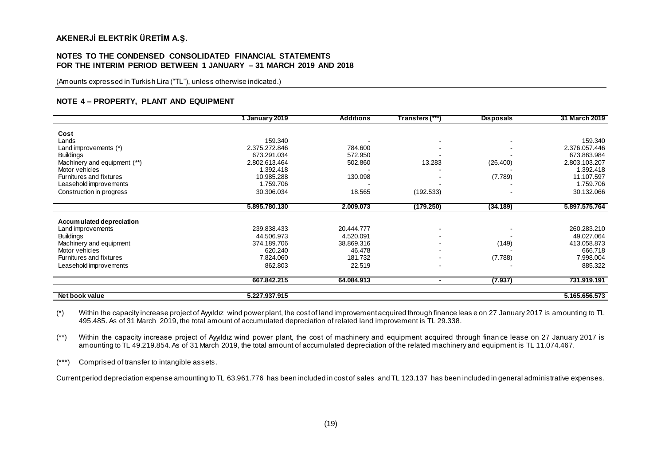#### **NOTES TO THE CONDENSED CONSOLIDATED FINANCIAL STATEMENTS FOR THE INTERIM PERIOD BETWEEN 1 JANUARY – 31 MARCH 2019 AND 2018**

(Amounts expressed in Turkish Lira ("TL"), unless otherwise indicated.)

#### **NOTE 4 – PROPERTY, PLANT AND EQUIPMENT**

|                              | January 2019  | <b>Additions</b> | Transfers (***) | <b>Disposals</b> | 31 March 2019 |
|------------------------------|---------------|------------------|-----------------|------------------|---------------|
|                              |               |                  |                 |                  |               |
| Cost                         |               |                  |                 |                  |               |
| Lands                        | 159.340       |                  |                 |                  | 159.340       |
| Land improvements (*)        | 2.375.272.846 | 784.600          |                 |                  | 2.376.057.446 |
| <b>Buildings</b>             | 673.291.034   | 572.950          |                 |                  | 673.863.984   |
| Machinery and equipment (**) | 2.802.613.464 | 502.860          | 13.283          | (26.400)         | 2.803.103.207 |
| Motor vehicles               | 1.392.418     |                  |                 |                  | 1.392.418     |
| Furnitures and fixtures      | 10.985.288    | 130.098          |                 | (7.789)          | 11.107.597    |
| Leasehold improvements       | 1.759.706     |                  |                 |                  | 1.759.706     |
| Construction in progress     | 30.306.034    | 18.565           | (192.533)       |                  | 30.132.066    |
|                              |               |                  |                 |                  |               |
|                              | 5.895.780.130 | 2.009.073        | (179.250)       | (34.189)         | 5.897.575.764 |
| Accum ulated depreciation    |               |                  |                 |                  |               |
| Land improvements            | 239.838.433   | 20.444.777       |                 |                  | 260.283.210   |
| <b>Buildings</b>             | 44.506.973    | 4.520.091        |                 |                  | 49.027.064    |
| Machinery and equipment      | 374.189.706   | 38.869.316       |                 | (149)            | 413.058.873   |
| Motor vehicles               | 620.240       | 46.478           |                 |                  | 666.718       |
|                              |               |                  |                 |                  |               |
| Furnitures and fixtures      | 7.824.060     | 181.732          |                 | (7.788)          | 7.998.004     |
| Leasehold improvements       | 862.803       | 22.519           |                 |                  | 885.322       |
|                              | 667.842.215   | 64.084.913       | $\blacksquare$  | (7.937)          | 731.919.191   |
| Net book value               | 5.227.937.915 |                  |                 |                  | 5.165.656.573 |

(\*) Within the capacity increase project of Ayyıldız wind power plant, the cost of land improvement acquired through finance leas e on 27 January 2017 is amounting to TL 495.485. As of 31 March 2019, the total amount of accumulated depreciation of related land improvement is TL 29.338.

(\*\*) Within the capacity increase project of Ayyıldız wind power plant, the cost of machinery and equipment acquired through finan ce lease on 27 January 2017 is amounting to TL 49.219.854. As of 31 March 2019, the total amount of accumulated depreciation of the related machinery and equipment is TL 11.074.467.

(\*\*\*) Comprised of transfer to intangible assets.

Current period depreciation expense amounting to TL 63.961.776 has been included in cost of sales and TL 123.137 has been included in general administrative expenses.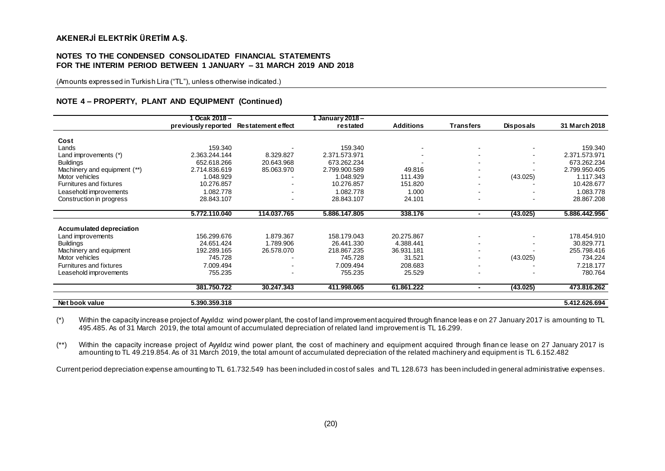#### **NOTES TO THE CONDENSED CONSOLIDATED FINANCIAL STATEMENTS FOR THE INTERIM PERIOD BETWEEN 1 JANUARY – 31 MARCH 2019 AND 2018**

(Amounts expressed in Turkish Lira ("TL"), unless otherwise indicated.)

#### **NOTE 4 – PROPERTY, PLANT AND EQUIPMENT (Continued)**

|                              | Ocak $2018 -$       |                           | January 2018- |                          |                          |                          |               |
|------------------------------|---------------------|---------------------------|---------------|--------------------------|--------------------------|--------------------------|---------------|
|                              | previously reported | <b>Restatement effect</b> | restated      | <b>Additions</b>         | <b>Transfers</b>         | <b>Disposals</b>         | 31 March 2018 |
| Cost                         |                     |                           |               |                          |                          |                          |               |
| Lands                        | 159.340             |                           | 159.340       | $\overline{\phantom{a}}$ |                          |                          | 159.340       |
| Land improvements (*)        | 2.363.244.144       | 8.329.827                 | 2.371.573.971 |                          | $\sim$                   | $\overline{\phantom{a}}$ | 2.371.573.971 |
| <b>Buildings</b>             | 652.618.266         | 20.643.968                | 673.262.234   |                          | $\sim$                   |                          | 673.262.234   |
| Machinery and equipment (**) | 2.714.836.619       | 85.063.970                | 2.799.900.589 | 49.816                   | $\overline{\phantom{a}}$ |                          | 2.799.950.405 |
| Motor vehicles               | 1.048.929           |                           | 1.048.929     | 111.439                  | $\sim$                   | (43.025)                 | 1.117.343     |
| Furnitures and fixtures      | 10.276.857          |                           | 10.276.857    | 151.820                  |                          |                          | 10.428.677    |
| Leasehold improvements       | 1.082.778           | $\blacksquare$            | 1.082.778     | 1.000                    | $\sim$                   |                          | 1.083.778     |
| Construction in progress     | 28.843.107          | $\overline{\phantom{0}}$  | 28.843.107    | 24.101                   |                          |                          | 28.867.208    |
|                              |                     |                           |               |                          |                          |                          |               |
|                              | 5.772.110.040       | 114.037.765               | 5.886.147.805 | 338.176                  | ٠                        | (43.025)                 | 5.886.442.956 |
|                              |                     |                           |               |                          |                          |                          |               |
| Accumulated depreciation     |                     |                           |               |                          |                          |                          |               |
| Land improvements            | 156.299.676         | 1.879.367                 | 158.179.043   | 20.275.867               | $\overline{\phantom{a}}$ |                          | 178.454.910   |
| <b>Buildings</b>             | 24.651.424          | 1.789.906                 | 26.441.330    | 4.388.441                | $\sim$                   |                          | 30.829.771    |
| Machinery and equipment      | 192.289.165         | 26.578.070                | 218.867.235   | 36.931.181               |                          |                          | 255.798.416   |
| Motor vehicles               | 745.728             | $\overline{\phantom{a}}$  | 745.728       | 31.521                   | $\overline{\phantom{a}}$ | (43.025)                 | 734.224       |
| Furnitures and fixtures      | 7.009.494           |                           | 7.009.494     | 208.683                  |                          |                          | 7.218.177     |
| Leasehold improvements       | 755.235             | $\overline{\phantom{a}}$  | 755.235       | 25.529                   |                          |                          | 780.764       |
|                              | 381.750.722         | 30.247.343                | 411.998.065   | 61.861.222               | $\blacksquare$           | (43.025)                 | 473.816.262   |
|                              |                     |                           |               |                          |                          |                          |               |
| Net book value               | 5.390.359.318       |                           |               |                          |                          |                          | 5.412.626.694 |

(\*) Within the capacity increase project of Ayyıldız wind power plant, the cost of land improvement acquired through finance leas e on 27 January 2017 is amounting to TL 495.485. As of 31 March 2019, the total amount of accumulated depreciation of related land improvement is TL 16.299.

(\*\*) Within the capacity increase project of Ayyıldız wind power plant, the cost of machinery and equipment acquired through finan ce lease on 27 January 2017 is amounting to TL 49.219.854. As of 31 March 2019, the total amount of accumulated depreciation of the related machinery and equipment is TL 6.152.482

Current period depreciation expense amounting to TL 61.732.549 has been included in cost of sales and TL 128.673 has been included in general administrative expenses.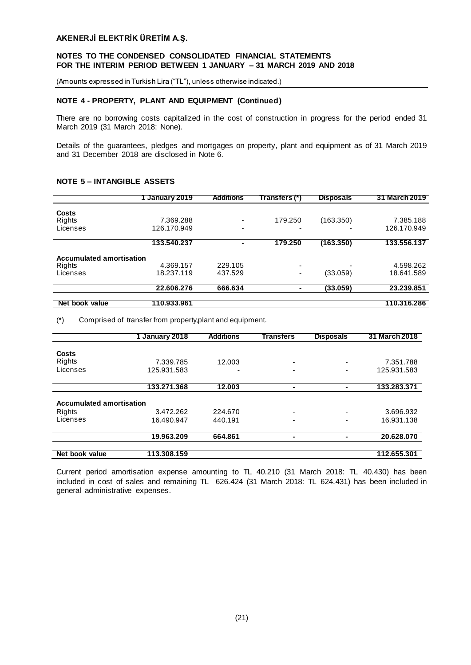## **NOTES TO THE CONDENSED CONSOLIDATED FINANCIAL STATEMENTS FOR THE INTERIM PERIOD BETWEEN 1 JANUARY – 31 MARCH 2019 AND 2018**

(Amounts expressed in Turkish Lira ("TL"), unless otherwise indicated.)

## **NOTE 4 - PROPERTY, PLANT AND EQUIPMENT (Continued)**

There are no borrowing costs capitalized in the cost of construction in progress for the period ended 31 March 2019 (31 March 2018: None).

Details of the guarantees, pledges and mortgages on property, plant and equipment as of 31 March 2019 and 31 December 2018 are disclosed in Note 6.

# **NOTE 5 – INTANGIBLE ASSETS**

|                                 | January 2019 | <b>Additions</b> | Transfers (*) | <b>Disposals</b> | 31 March 2019 |
|---------------------------------|--------------|------------------|---------------|------------------|---------------|
| Costs                           |              |                  |               |                  |               |
| Rights                          | 7.369.288    | ۰                | 179.250       | (163.350)        | 7.385.188     |
|                                 |              |                  |               |                  |               |
| Licenses                        | 126.170.949  | -                |               |                  | 126.170.949   |
|                                 | 133.540.237  | -                | 179.250       | (163.350)        | 133.556.137   |
|                                 |              |                  |               |                  |               |
| <b>Accumulated amortisation</b> |              |                  |               |                  |               |
| Rights                          | 4.369.157    | 229.105          | -             |                  | 4.598.262     |
| Licenses                        | 18.237.119   | 437.529          | ۰             | (33.059)         | 18.641.589    |
|                                 | 22.606.276   | 666.634          |               | (33.059)         | 23,239,851    |
|                                 |              |                  |               |                  |               |
| Net book value                  | 110.933.961  |                  |               |                  | 110.316.286   |

(\*) Comprised of transfer from property,plant and equipment.

|                                 | 1 January 2018 | <b>Additions</b> | Transfers                | <b>Disposals</b>         | 31 March 2018 |
|---------------------------------|----------------|------------------|--------------------------|--------------------------|---------------|
|                                 |                |                  |                          |                          |               |
| <b>Costs</b>                    |                |                  |                          |                          |               |
| Rights                          | 7.339.785      | 12.003           | $\overline{a}$           | ٠                        | 7.351.788     |
| Licenses                        | 125.931.583    |                  |                          | $\overline{\phantom{0}}$ | 125.931.583   |
|                                 | 133.271.368    | 12.003           | ۰                        |                          | 133.283.371   |
| <b>Accumulated amortisation</b> |                |                  |                          |                          |               |
| Rights                          | 3.472.262      | 224.670          | $\overline{\phantom{0}}$ | $\overline{\phantom{0}}$ | 3.696.932     |
| Licenses                        | 16.490.947     | 440.191          | ٠                        | $\overline{\phantom{0}}$ | 16.931.138    |
|                                 | 19.963.209     | 664.861          | ۰                        |                          | 20.628.070    |
| Net book value                  | 113.308.159    |                  |                          |                          | 112.655.301   |

Current period amortisation expense amounting to TL 40.210 (31 March 2018: TL 40.430) has been included in cost of sales and remaining TL 626.424 (31 March 2018: TL 624.431) has been included in general administrative expenses.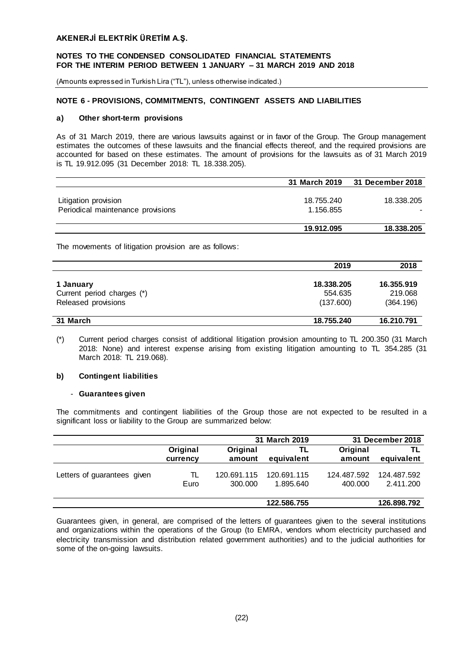## **NOTES TO THE CONDENSED CONSOLIDATED FINANCIAL STATEMENTS FOR THE INTERIM PERIOD BETWEEN 1 JANUARY – 31 MARCH 2019 AND 2018**

(Amounts expressed in Turkish Lira ("TL"), unless otherwise indicated.)

# **NOTE 6 - PROVISIONS, COMMITMENTS, CONTINGENT ASSETS AND LIABILITIES**

#### **a) Other short-term provisions**

As of 31 March 2019, there are various lawsuits against or in favor of the Group. The Group management estimates the outcomes of these lawsuits and the financial effects thereof, and the required provisions are accounted for based on these estimates. The amount of provisions for the lawsuits as of 31 March 2019 is TL 19.912.095 (31 December 2018: TL 18.338.205).

|                                   | 31 March 2019 | 31 December 2018 |
|-----------------------------------|---------------|------------------|
|                                   |               |                  |
| Litigation provision              | 18.755.240    | 18.338.205       |
| Periodical maintenance provisions | 1.156.855     |                  |
|                                   |               |                  |
|                                   | 19.912.095    | 18.338.205       |

The movements of litigation provision are as follows:

|                                                   | 2019                 | 2018                 |
|---------------------------------------------------|----------------------|----------------------|
| 1 January                                         | 18.338.205           | 16.355.919           |
| Current period charges (*)<br>Released provisions | 554.635<br>(137.600) | 219,068<br>(364.196) |
|                                                   |                      |                      |
| 31 March                                          | 18.755.240           | 16.210.791           |

(\*) Current period charges consist of additional litigation provision amounting to TL 200.350 (31 March 2018: None) and interest expense arising from existing litigation amounting to TL 354.285 (31 March 2018: TL 219.068).

#### **b) Contingent liabilities**

#### - **Guarantees given**

The commitments and contingent liabilities of the Group those are not expected to be resulted in a significant loss or liability to the Group are summarized below:

|                             |          |             | 31 March 2019 |             | 31 December 2018 |
|-----------------------------|----------|-------------|---------------|-------------|------------------|
|                             | Original | Original    | TL            | Original    | TL               |
|                             | currency | amount      | equivalent    | amount      | equivalent       |
| Letters of guarantees given | TL       | 120.691.115 | 120.691.115   | 124.487.592 | 124.487.592      |
|                             | Euro     | 300.000     | 1.895.640     | 400.000     | 2.411.200        |
|                             |          |             | 122.586.755   |             | 126.898.792      |

Guarantees given, in general, are comprised of the letters of guarantees given to the several institutions and organizations within the operations of the Group (to EMRA, vendors whom electricity purchased and electricity transmission and distribution related government authorities) and to the judicial authorities for some of the on-going lawsuits.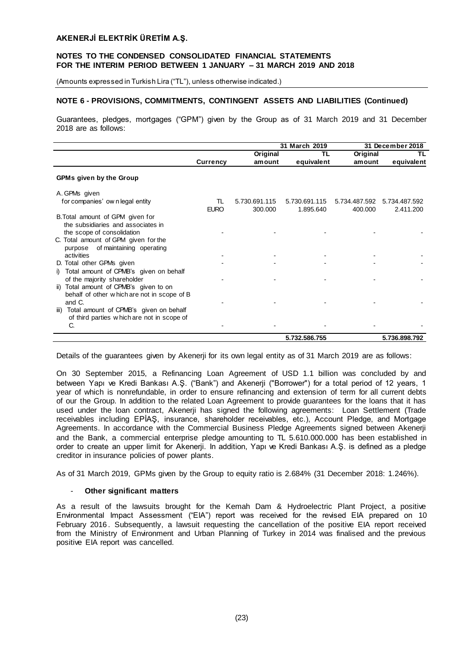(Amounts expressed in Turkish Lira ("TL"), unless otherwise indicated.)

## **NOTE 6 - PROVISIONS, COMMITMENTS, CONTINGENT ASSETS AND LIABILITIES (Continued)**

Guarantees, pledges, mortgages ("GPM") given by the Group as of 31 March 2019 and 31 December 2018 are as follows:

|                                                                        |                   |                          | 31 March 2019              |                          | 31 December 2018           |
|------------------------------------------------------------------------|-------------------|--------------------------|----------------------------|--------------------------|----------------------------|
|                                                                        |                   | Original                 | TL                         | Original                 | ΤL                         |
|                                                                        | <b>Currency</b>   | amount                   | equivalent                 | amount                   | equivalent                 |
| <b>GPMs given by the Group</b>                                         |                   |                          |                            |                          |                            |
| A. GPMs given                                                          |                   |                          |                            |                          |                            |
| for companies' own legal entity                                        | TL<br><b>EURO</b> | 5.730.691.115<br>300,000 | 5.730.691.115<br>1.895.640 | 5.734.487.592<br>400.000 | 5.734.487.592<br>2.411.200 |
| B. Total amount of GPM given for<br>the subsidiaries and associates in |                   |                          |                            |                          |                            |
| the scope of consolidation<br>C. Total amount of GPM given for the     |                   |                          |                            |                          |                            |
| of maintaining operating<br>purpose<br>activities                      |                   |                          |                            |                          |                            |
| D. Total other GPMs given<br>i) Total amount of CPMB's given on behalf |                   |                          |                            |                          |                            |
| of the majority shareholder<br>ii) Total amount of CPMB's given to on  |                   |                          |                            |                          |                            |
| behalf of other which are not in scope of B<br>and C.                  |                   |                          |                            |                          |                            |
| Total amount of CPMB's given on behalf<br>iii)                         |                   |                          |                            |                          |                            |
| of third parties which are not in scope of<br>C.                       |                   |                          |                            |                          |                            |
|                                                                        |                   |                          | 5.732.586.755              |                          | 5.736.898.792              |

Details of the guarantees given by Akenerji for its own legal entity as of 31 March 2019 are as follows:

On 30 September 2015, a Refinancing Loan Agreement of USD 1.1 billion was concluded by and between Yapı ve Kredi Bankası A.Ş. ("Bank") and Akenerji ("Borrower") for a total period of 12 years, 1 year of which is nonrefundable, in order to ensure refinancing and extension of term for all current debts of our the Group. In addition to the related Loan Agreement to provide guarantees for the loans that it has used under the loan contract, Akenerji has signed the following agreements: Loan Settlement (Trade receivables including EPİAŞ, insurance, shareholder receivables, etc.), Account Pledge, and Mortgage Agreements. In accordance with the Commercial Business Pledge Agreements signed between Akenerji and the Bank, a commercial enterprise pledge amounting to TL 5.610.000.000 has been established in order to create an upper limit for Akenerji. In addition, Yapı ve Kredi Bankası A.Ş. is defined as a pledge creditor in insurance policies of power plants.

As of 31 March 2019, GPMs given by the Group to equity ratio is 2.684% (31 December 2018: 1.246%).

#### - **Other significant matters**

As a result of the lawsuits brought for the Kemah Dam & Hydroelectric Plant Project, a positive Environmental Impact Assessment ("EIA") report was received for the revised EIA prepared on 10 February 2016 . Subsequently, a lawsuit requesting the cancellation of the positive EIA report received from the Ministry of Environment and Urban Planning of Turkey in 2014 was finalised and the previous positive EIA report was cancelled.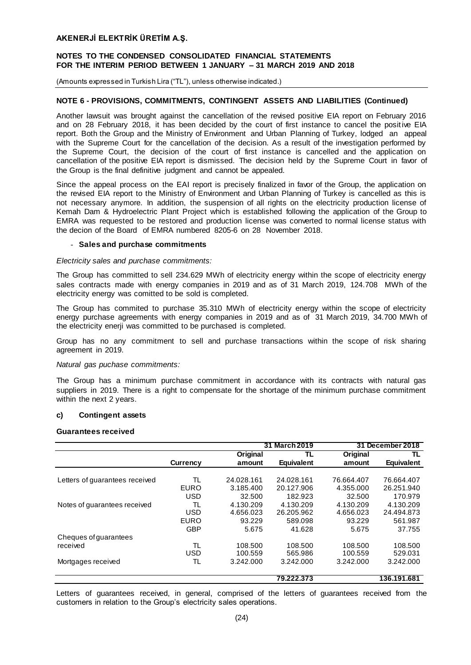## **NOTES TO THE CONDENSED CONSOLIDATED FINANCIAL STATEMENTS FOR THE INTERIM PERIOD BETWEEN 1 JANUARY – 31 MARCH 2019 AND 2018**

(Amounts expressed in Turkish Lira ("TL"), unless otherwise indicated.)

#### **NOTE 6 - PROVISIONS, COMMITMENTS, CONTINGENT ASSETS AND LIABILITIES (Continued)**

Another lawsuit was brought against the cancellation of the revised positive EIA report on February 2016 and on 28 February 2018, it has been decided by the court of first instance to cancel the posit ive EIA report. Both the Group and the Ministry of Environment and Urban Planning of Turkey, lodged an appeal with the Supreme Court for the cancellation of the decision. As a result of the investigation performed by the Supreme Court, the decision of the court of first instance is cancelled and the application on cancellation of the positive EIA report is dismissed. The decision held by the Supreme Court in favor of the Group is the final definitive judgment and cannot be appealed.

Since the appeal process on the EAI report is precisely finalized in favor of the Group, the application on the revised EIA report to the Ministry of Environment and Urban Planning of Turkey is cancelled as this is not necessary anymore. In addition, the suspension of all rights on the electricity production license of Kemah Dam & Hydroelectric Plant Project which is established following the application of the Group to EMRA was requested to be restored and production license was converted to normal license status with the decion of the Board of EMRA numbered 8205-6 on 28 November 2018.

#### - **Sales and purchase commitments**

#### *Electricity sales and purchase commitments:*

The Group has committed to sell 234.629 MWh of electricity energy within the scope of electricity energy sales contracts made with energy companies in 2019 and as of 31 March 2019, 124.708 MWh of the electricity energy was comitted to be sold is completed.

The Group has commited to purchase 35.310 MWh of electricity energy within the scope of electricity energy purchase agreements with energy companies in 2019 and as of 31 March 2019, 34.700 MWh of the electricity enerji was committed to be purchased is completed.

Group has no any commitment to sell and purchase transactions within the scope of risk sharing agreement in 2019.

#### *Natural gas puchase commitments:*

The Group has a minimum purchase commitment in accordance with its contracts with natural gas suppliers in 2019. There is a right to compensate for the shortage of the minimum purchase commitment within the next 2 years.

#### **c) Contingent assets**

#### **Guarantees received**

|                                |             |            | 31 March 2019     |            | 31 December 2018  |
|--------------------------------|-------------|------------|-------------------|------------|-------------------|
|                                |             | Original   | TL                | Original   | TL                |
|                                | Currency    | amount     | <b>Equivalent</b> | amount     | <b>Equivalent</b> |
|                                |             |            |                   |            |                   |
| Letters of guarantees received | TL          | 24.028.161 | 24.028.161        | 76.664.407 | 76.664.407        |
|                                | <b>EURO</b> | 3.185.400  | 20.127.906        | 4.355.000  | 26.251.940        |
|                                | <b>USD</b>  | 32.500     | 182.923           | 32.500     | 170.979           |
| Notes of guarantees received   | TL.         | 4.130.209  | 4.130.209         | 4.130.209  | 4.130.209         |
|                                | <b>USD</b>  | 4.656.023  | 26.205.962        | 4.656.023  | 24.494.873        |
|                                | <b>EURO</b> | 93.229     | 589.098           | 93.229     | 561.987           |
|                                | <b>GBP</b>  | 5.675      | 41.628            | 5.675      | 37.755            |
| Cheques of guarantees          |             |            |                   |            |                   |
| received                       | TL          | 108.500    | 108.500           | 108,500    | 108.500           |
|                                | <b>USD</b>  | 100.559    | 565.986           | 100.559    | 529.031           |
| Mortgages received             | TL          | 3.242.000  | 3.242.000         | 3.242.000  | 3.242.000         |
|                                |             |            | 79.222.373        |            | 136.191.681       |

Letters of guarantees received, in general, comprised of the letters of guarantees received from the customers in relation to the Group's electricity sales operations.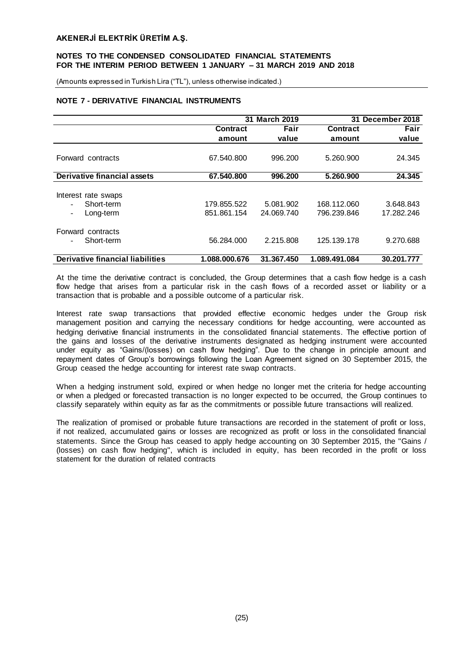(Amounts expressed in Turkish Lira ("TL"), unless otherwise indicated.)

# **NOTE 7 - DERIVATIVE FINANCIAL INSTRUMENTS**

|                                            | 31              | <b>March 2019</b> | December 2018<br>31 |            |
|--------------------------------------------|-----------------|-------------------|---------------------|------------|
|                                            | <b>Contract</b> | Fair              | <b>Contract</b>     | Fair       |
|                                            | amount          | value             | amount              | value      |
|                                            |                 |                   |                     |            |
| Forward contracts                          | 67.540.800      | 996.200           | 5.260.900           | 24.345     |
|                                            |                 |                   |                     |            |
| Derivative financial assets                | 67.540.800      | 996.200           | 5.260.900           | 24.345     |
|                                            |                 |                   |                     |            |
| Interest rate swaps                        |                 |                   |                     |            |
| Short-term                                 | 179.855.522     | 5.081.902         | 168.112.060         | 3.648.843  |
| Long-term<br>$\overline{\phantom{a}}$      | 851.861.154     | 24.069.740        | 796.239.846         | 17.282.246 |
| Forward contracts                          |                 |                   |                     |            |
|                                            |                 |                   |                     |            |
| Short-term<br>$\qquad \qquad \blacksquare$ | 56.284.000      | 2.215.808         | 125.139.178         | 9.270.688  |
| Derivative financial liabilities           | 1.088.000.676   | 31.367.450        | 1.089.491.084       | 30.201.777 |

At the time the derivative contract is concluded, the Group determines that a cash flow hedge is a cash flow hedge that arises from a particular risk in the cash flows of a recorded asset or liability or a transaction that is probable and a possible outcome of a particular risk.

Interest rate swap transactions that provided effective economic hedges under the Group risk management position and carrying the necessary conditions for hedge accounting, were accounted as hedging derivative financial instruments in the consolidated financial statements. The effective portion of the gains and losses of the derivative instruments designated as hedging instrument were accounted under equity as "Gains/(losses) on cash flow hedging". Due to the change in principle amount and repayment dates of Group's borrowings following the Loan Agreement signed on 30 September 2015, the Group ceased the hedge accounting for interest rate swap contracts.

When a hedging instrument sold, expired or when hedge no longer met the criteria for hedge accounting or when a pledged or forecasted transaction is no longer expected to be occurred, the Group continues to classify separately within equity as far as the commitments or possible future transactions will realized.

The realization of promised or probable future transactions are recorded in the statement of profit or loss, if not realized, accumulated gains or losses are recognized as profit or loss in the consolidated financial statements. Since the Group has ceased to apply hedge accounting on 30 September 2015, the "Gains / (losses) on cash flow hedging", which is included in equity, has been recorded in the profit or loss statement for the duration of related contracts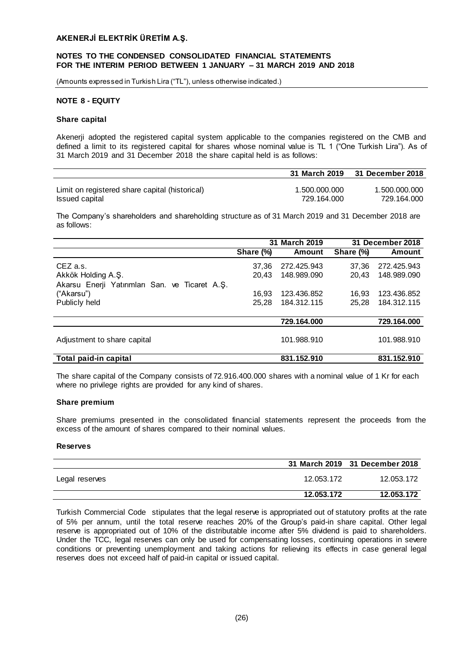(Amounts expressed in Turkish Lira ("TL"), unless otherwise indicated.)

## **NOTE 8 - EQUITY**

#### **Share capital**

Akenerji adopted the registered capital system applicable to the companies registered on the CMB and defined a limit to its registered capital for shares whose nominal value is TL 1 ("One Turkish Lira"). As of 31 March 2019 and 31 December 2018 the share capital held is as follows:

|                                                | 31 March 2019 | 31 December 2018 |
|------------------------------------------------|---------------|------------------|
| Limit on registered share capital (historical) | 1.500.000.000 | 1.500.000.000    |
| Issued capital                                 | 729.164.000   | 729.164.000      |

The Company's shareholders and shareholding structure as of 31 March 2019 and 31 December 2018 are as follows:

|                                                | 31 March 2019 |             |           | 31 December 2018 |
|------------------------------------------------|---------------|-------------|-----------|------------------|
|                                                | Share (%)     | Amount      | Share (%) | <b>Amount</b>    |
| CEZ a.s.                                       | 37.36         | 272.425.943 | 37.36     | 272.425.943      |
| Akkök Holding A.Ş.                             | 20.43         | 148.989.090 | 20.43     | 148.989.090      |
| Akarsu Enerji Yatırımları San. ve Ticaret A.Ş. |               |             |           |                  |
| ("Akarsu")                                     | 16.93         | 123.436.852 | 16.93     | 123.436.852      |
| Publicly held                                  | 25.28         | 184.312.115 | 25,28     | 184.312.115      |
|                                                |               |             |           |                  |
|                                                |               | 729.164.000 |           | 729.164.000      |
|                                                |               |             |           |                  |
| Adjustment to share capital                    |               | 101.988.910 |           | 101.988.910      |
|                                                |               |             |           |                  |
| Total paid-in capital                          |               | 831.152.910 |           | 831.152.910      |

The share capital of the Company consists of 72.916.400.000 shares with a nominal value of 1 Kr for each where no privilege rights are provided for any kind of shares.

#### **Share premium**

Share premiums presented in the consolidated financial statements represent the proceeds from the excess of the amount of shares compared to their nominal values.

#### **Reserves**

|                |            | 31 March 2019 31 December 2018 |
|----------------|------------|--------------------------------|
| Legal reserves | 12.053.172 | 12.053.172                     |
|                | 12.053.172 | 12.053.172                     |

Turkish Commercial Code stipulates that the legal reserve is appropriated out of statutory profits at the rate of 5% per annum, until the total reserve reaches 20% of the Group's paid-in share capital. Other legal reserve is appropriated out of 10% of the distributable income after 5% dividend is paid to shareholders. Under the TCC, legal reserves can only be used for compensating losses, continuing operations in severe conditions or preventing unemployment and taking actions for relieving its effects in case general legal reserves does not exceed half of paid-in capital or issued capital.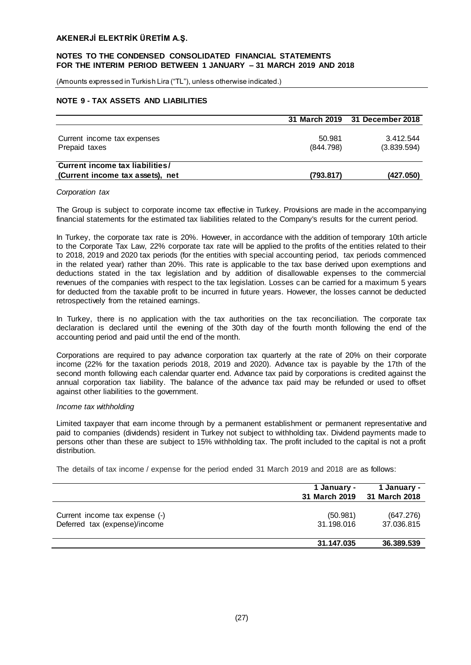(Amounts expressed in Turkish Lira ("TL"), unless otherwise indicated.)

## **NOTE 9 - TAX ASSETS AND LIABILITIES**

|                                                                     |                     | 31 March 2019 31 December 2018 |
|---------------------------------------------------------------------|---------------------|--------------------------------|
| Current income tax expenses<br>Prepaid taxes                        | 50.981<br>(844.798) | 3.412.544<br>(3.839.594)       |
| Current income tax liabilities/<br>(Current income tax assets), net | (793.817)           | (427.050)                      |

#### *Corporation tax*

The Group is subject to corporate income tax effective in Turkey. Provisions are made in the accompanying financial statements for the estimated tax liabilities related to the Company's results for the current period.

In Turkey, the corporate tax rate is 20%. However, in accordance with the addition of temporary 10th article to the Corporate Tax Law, 22% corporate tax rate will be applied to the profits of the entities related to their to 2018, 2019 and 2020 tax periods (for the entities with special accounting period, tax periods commenced in the related year) rather than 20%. This rate is applicable to the tax base derived upon exemptions and deductions stated in the tax legislation and by addition of disallowable expenses to the commercial revenues of the companies with respect to the tax legislation. Losses can be carried for a maximum 5 years for deducted from the taxable profit to be incurred in future years. However, the losses cannot be deducted retrospectively from the retained earnings.

In Turkey, there is no application with the tax authorities on the tax reconciliation. The corporate tax declaration is declared until the evening of the 30th day of the fourth month following the end of the accounting period and paid until the end of the month.

Corporations are required to pay advance corporation tax quarterly at the rate of 20% on their corporate income (22% for the taxation periods 2018, 2019 and 2020). Advance tax is payable by the 17th of the second month following each calendar quarter end. Advance tax paid by corporations is credited against the annual corporation tax liability. The balance of the advance tax paid may be refunded or used to offset against other liabilities to the government.

#### *Income tax withholding*

Limited taxpayer that earn income through by a permanent establishment or permanent representative and paid to companies (dividends) resident in Turkey not subject to withholding tax. Dividend payments made to persons other than these are subject to 15% withholding tax. The profit included to the capital is not a profit distribution.

The details of tax income / expense for the period ended 31 March 2019 and 2018 are as follows:

|                                                                 | 1 January -<br>31 March 2019 | 1 January -<br>31 March 2018 |
|-----------------------------------------------------------------|------------------------------|------------------------------|
| Current income tax expense (-)<br>Deferred tax (expense)/income | (50.981)<br>31.198.016       | (647.276)<br>37.036.815      |
|                                                                 | 31.147.035                   | 36.389.539                   |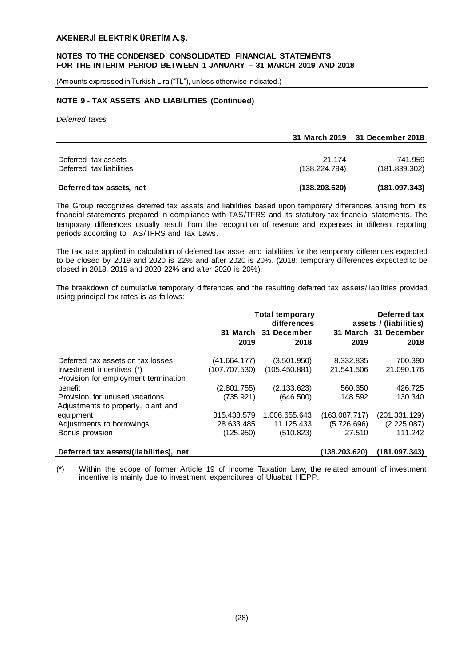#### **NOTES TO THE CONDENSED CONSOLIDATED FINANCIAL STATEMENTS FOR THE INTERIM PERIOD BETWEEN 1 JANUARY – 31 MARCH 2019 AND 2018**

(Amounts expressed in Turkish Lira ("TL"), unless otherwise indicated.)

## **NOTE 9 - TAX ASSETS AND LIABILITIES (Continued)**

*Deferred taxes*

|                          |               | 31 March 2019 31 December 2018 |
|--------------------------|---------------|--------------------------------|
|                          |               |                                |
| Deferred tax assets      | 21.174        | 741.959                        |
| Deferred tax liabilities | (138.224.794) | (181.839.302)                  |
|                          |               |                                |
| Deferred tax assets, net | (138.203.620) | (181.097.343)                  |

The Group recognizes deferred tax assets and liabilities based upon temporary differences arising from its financial statements prepared in compliance with TAS/TFRS and its statutory tax financial statements. The temporary differences usually result from the recognition of revenue and expenses in different reporting periods according to TAS/TFRS and Tax Laws.

The tax rate applied in calculation of deferred tax asset and liabilities for the temporary differences expected to be closed by 2019 and 2020 is 22% and after 2020 is 20%. (2018: temporary differences expected to be closed in 2018, 2019 and 2020 22% and after 2020 is 20%).

The breakdown of cumulative temporary differences and the resulting deferred tax assets/liabilities provided using principal tax rates is as follows:

|                                        |               | <b>Total temporary</b> | Deferred tax  |                        |
|----------------------------------------|---------------|------------------------|---------------|------------------------|
|                                        |               | differences            |               | assets / (liabilities) |
|                                        | 31 March      | 31<br>December         |               | 31 March 31 December   |
|                                        | 2019          | 2018                   | 2019          | 2018                   |
|                                        |               |                        |               |                        |
| Deferred tax assets on tax losses      | (41.664.177)  | (3.501.950)            | 8.332.835     | 700.390                |
| Investment incentives (*)              | (107.707.530) | (105.450.881)          | 21.541.506    | 21.090.176             |
| Provision for employment termination   |               |                        |               |                        |
| benefit                                | (2.801.755)   | (2.133.623)            | 560.350       | 426.725                |
| Provision for unused vacations         | (735.921)     | (646.500)              | 148.592       | 130.340                |
| Adjustments to property, plant and     |               |                        |               |                        |
| equipment                              | 815.438.579   | 1.006.655.643          | (163.087.717) | (201.331.129)          |
| Adjustments to borrowings              | 28.633.485    | 11.125.433             | (5.726.696)   | (2.225.087)            |
| Bonus provision                        | (125.950)     | (510.823)              | 27.510        | 111.242                |
| Deferred tax assets/(liabilities), net |               |                        | (138.203.620) | (181.097.343)          |

(\*) Within the scope of former Article 19 of Income Taxation Law, the related amount of investment incentive is mainly due to investment expenditures of Uluabat HEPP.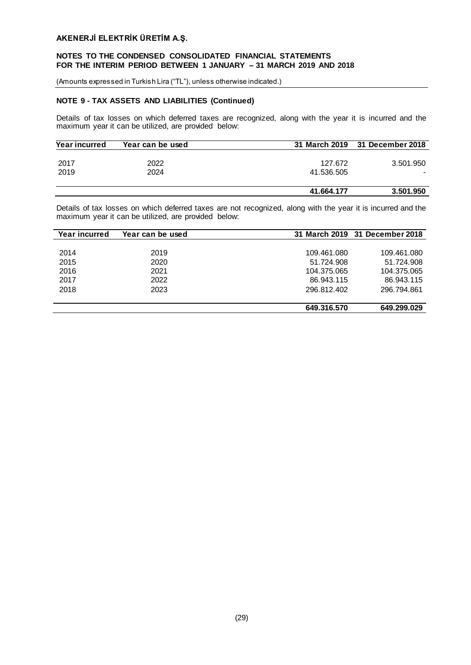#### **NOTES TO THE CONDENSED CONSOLIDATED FINANCIAL STATEMENTS FOR THE INTERIM PERIOD BETWEEN 1 JANUARY – 31 MARCH 2019 AND 2018**

(Amounts expressed in Turkish Lira ("TL"), unless otherwise indicated.)

# **NOTE 9 - TAX ASSETS AND LIABILITIES (Continued)**

Details of tax losses on which deferred taxes are recognized, along with the year it is incurred and the maximum year it can be utilized, are provided below:

| Year incurred | Year can be used |            | 31 March 2019 31 December 2018 |
|---------------|------------------|------------|--------------------------------|
|               |                  |            |                                |
| 2017          | 2022             | 127.672    | 3.501.950                      |
| 2019          | 2024             | 41.536.505 |                                |
|               |                  |            |                                |
|               |                  | 41.664.177 | 3.501.950                      |

Details of tax losses on which deferred taxes are not recognized, along with the year it is incurred and the maximum year it can be utilized, are provided below:

| Year incurred | Year can be used |             | 31 March 2019 31 December 2018 |
|---------------|------------------|-------------|--------------------------------|
|               |                  |             |                                |
| 2014          | 2019             | 109.461.080 | 109.461.080                    |
| 2015          | 2020             | 51.724.908  | 51.724.908                     |
| 2016          | 2021             | 104.375.065 | 104.375.065                    |
| 2017          | 2022             | 86.943.115  | 86.943.115                     |
| 2018          | 2023             | 296.812.402 | 296.794.861                    |
|               |                  |             |                                |
|               |                  | 649.316.570 | 649.299.029                    |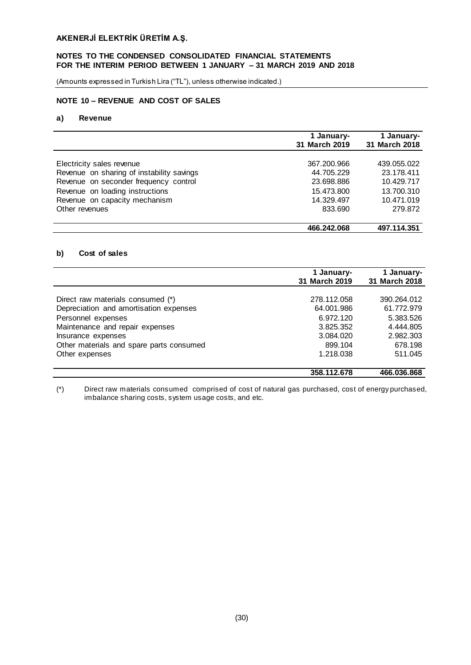## **NOTES TO THE CONDENSED CONSOLIDATED FINANCIAL STATEMENTS FOR THE INTERIM PERIOD BETWEEN 1 JANUARY – 31 MARCH 2019 AND 2018**

(Amounts expressed in Turkish Lira ("TL"), unless otherwise indicated.)

# **NOTE 10 – REVENUE AND COST OF SALES**

# **a) Revenue**

|                                                                                    | 1 January-<br>31 March 2019 | 1 January-<br>31 March 2018 |
|------------------------------------------------------------------------------------|-----------------------------|-----------------------------|
| Electricity sales revenue                                                          | 367.200.966                 | 439.055.022                 |
| Revenue on sharing of instability savings<br>Revenue on seconder frequency control | 44.705.229<br>23.698.886    | 23.178.411<br>10.429.717    |
| Revenue on loading instructions<br>Revenue on capacity mechanism                   | 15.473.800<br>14.329.497    | 13.700.310<br>10.471.019    |
| Other revenues                                                                     | 833.690                     | 279.872                     |
|                                                                                    | 466.242.068                 | 497.114.351                 |

#### **b) Cost of sales**

|                                          | 1 January-<br>31 March 2019 | 1 January-<br>31 March 2018 |
|------------------------------------------|-----------------------------|-----------------------------|
|                                          |                             |                             |
| Direct raw materials consumed (*)        | 278.112.058                 | 390.264.012                 |
| Depreciation and amortisation expenses   | 64.001.986                  | 61.772.979                  |
| Personnel expenses                       | 6.972.120                   | 5.383.526                   |
| Maintenance and repair expenses          | 3.825.352                   | 4.444.805                   |
| Insurance expenses                       | 3.084.020                   | 2.982.303                   |
| Other materials and spare parts consumed | 899.104                     | 678.198                     |
| Other expenses                           | 1.218.038                   | 511.045                     |
|                                          | 358.112.678                 | 466.036.868                 |

(\*) Direct raw materials consumed comprised of cost of natural gas purchased, cost of energy purchased, imbalance sharing costs, system usage costs, and etc.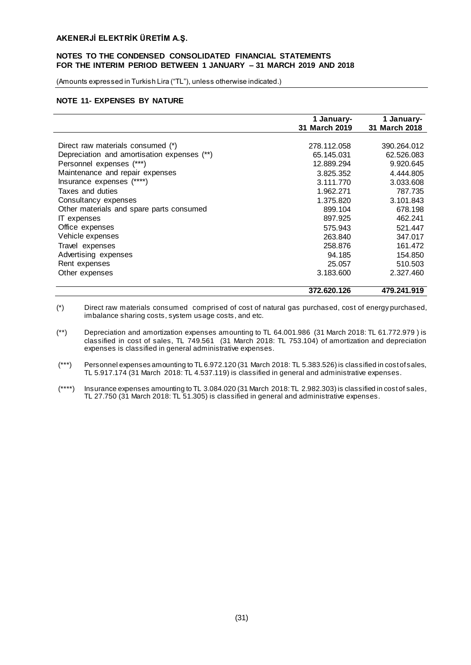## **NOTES TO THE CONDENSED CONSOLIDATED FINANCIAL STATEMENTS FOR THE INTERIM PERIOD BETWEEN 1 JANUARY – 31 MARCH 2019 AND 2018**

(Amounts expressed in Turkish Lira ("TL"), unless otherwise indicated.)

## **NOTE 11- EXPENSES BY NATURE**

|                                             | 1 January-<br>31 March 2019 | 1 January-<br>31 March 2018 |
|---------------------------------------------|-----------------------------|-----------------------------|
|                                             |                             |                             |
| Direct raw materials consumed (*)           | 278.112.058                 | 390.264.012                 |
| Depreciation and amortisation expenses (**) | 65.145.031                  | 62.526.083                  |
| Personnel expenses (***)                    | 12.889.294                  | 9.920.645                   |
| Maintenance and repair expenses             | 3.825.352                   | 4.444.805                   |
| Insurance expenses (****)                   | 3.111.770                   | 3.033.608                   |
| Taxes and duties                            | 1.962.271                   | 787.735                     |
| Consultancy expenses                        | 1.375.820                   | 3.101.843                   |
| Other materials and spare parts consumed    | 899.104                     | 678.198                     |
| IT expenses                                 | 897.925                     | 462.241                     |
| Office expenses                             | 575.943                     | 521.447                     |
| Vehicle expenses                            | 263.840                     | 347.017                     |
| Travel expenses                             | 258.876                     | 161.472                     |
| Advertising expenses                        | 94.185                      | 154.850                     |
| Rent expenses                               | 25.057                      | 510,503                     |
| Other expenses                              | 3.183.600                   | 2.327.460                   |
|                                             | 372.620.126                 | 479.241.919                 |

(\*) Direct raw materials consumed comprised of cost of natural gas purchased, cost of energy purchased, imbalance sharing costs, system usage costs, and etc.

(\*\*) Depreciation and amortization expenses amounting to TL 64.001.986 (31 March 2018: TL 61.772.979 ) is classified in cost of sales, TL 749.561 (31 March 2018: TL 753.104) of amortization and depreciation expenses is classified in general administrative expenses.

- (\*\*\*) Personnel expenses amounting to TL 6.972.120 (31 March 2018: TL 5.383.526) is classified in cost of sales, TL 5.917.174 (31 March 2018: TL 4.537.119) is classified in general and administrative expenses.
- (\*\*\*\*) Insurance expenses amounting to TL 3.084.020 (31 March 2018: TL 2.982.303) is classified in cost of sales, TL 27.750 (31 March 2018: TL 51.305) is classified in general and administrative expenses.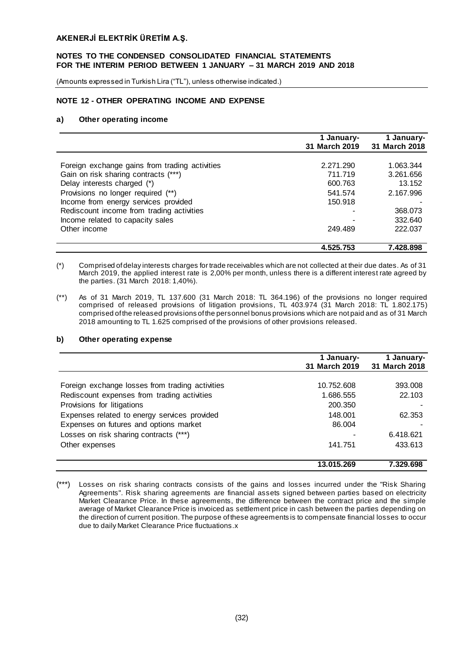## **NOTES TO THE CONDENSED CONSOLIDATED FINANCIAL STATEMENTS FOR THE INTERIM PERIOD BETWEEN 1 JANUARY – 31 MARCH 2019 AND 2018**

(Amounts expressed in Turkish Lira ("TL"), unless otherwise indicated.)

## **NOTE 12 - OTHER OPERATING INCOME AND EXPENSE**

#### **a) Other operating income**

|                                                | 1 January-    | 1 January-    |
|------------------------------------------------|---------------|---------------|
|                                                | 31 March 2019 | 31 March 2018 |
|                                                |               |               |
| Foreign exchange gains from trading activities | 2.271.290     | 1.063.344     |
| Gain on risk sharing contracts (***)           | 711.719       | 3.261.656     |
| Delay interests charged (*)                    | 600.763       | 13.152        |
| Provisions no longer required (**)             | 541.574       | 2.167.996     |
| Income from energy services provided           | 150.918       |               |
| Rediscount income from trading activities      |               | 368,073       |
| Income related to capacity sales               |               | 332.640       |
| Other income                                   | 249.489       | 222.037       |
|                                                | 4.525.753     | 7.428.898     |

- (\*) Comprised of delay interests charges for trade receivables which are not collected at their due dates. As of 31 March 2019, the applied interest rate is 2,00% per month, unless there is a different interest rate agreed by the parties. (31 March 2018: 1,40%).
- (\*\*) As of 31 March 2019, TL 137.600 (31 March 2018: TL 364.196) of the provisions no longer required comprised of released provisions of litigation provisions, TL 403.974 (31 March 2018: TL 1.802.175) comprised of the released provisions of the personnel bonus provisions which are not paid and as of 31 March 2018 amounting to TL 1.625 comprised of the provisions of other provisions released.

#### **b) Other operating expense**

|                                                 | 1 January-<br>31 March 2019 | 1 January-<br>31 March 2018 |
|-------------------------------------------------|-----------------------------|-----------------------------|
|                                                 |                             |                             |
| Foreign exchange losses from trading activities | 10.752.608                  | 393.008                     |
| Rediscount expenses from trading activities     | 1.686.555                   | 22.103                      |
| Provisions for litigations                      | 200.350                     |                             |
| Expenses related to energy services provided    | 148.001                     | 62.353                      |
| Expenses on futures and options market          | 86,004                      |                             |
| Losses on risk sharing contracts (***)          |                             | 6.418.621                   |
| Other expenses                                  | 141.751                     | 433.613                     |
|                                                 | 13.015.269                  | 7.329.698                   |

<sup>(\*\*\*)</sup> Losses on risk sharing contracts consists of the gains and losses incurred under the "Risk Sharing Agreements". Risk sharing agreements are financial assets signed between parties based on electricity Market Clearance Price. In these agreements, the difference between the contract price and the simple average of Market Clearance Price is invoiced as settlement price in cash between the parties depending on the direction of current position. The purpose of these agreements is to compensate financial losses to occur due to daily Market Clearance Price fluctuations.x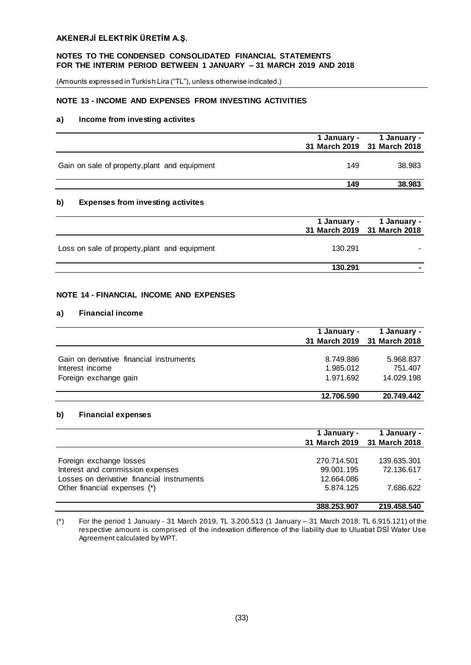## **NOTES TO THE CONDENSED CONSOLIDATED FINANCIAL STATEMENTS FOR THE INTERIM PERIOD BETWEEN 1 JANUARY – 31 MARCH 2019 AND 2018**

(Amounts expressed in Turkish Lira ("TL"), unless otherwise indicated.)

# **NOTE 13 - INCOME AND EXPENSES FROM INVESTING ACTIVITIES**

## **a) Income from investing activites**

|                                               | 1 January -<br>31 March 2019 31 March 2018 | 1 January - |
|-----------------------------------------------|--------------------------------------------|-------------|
| Gain on sale of property, plant and equipment | 149                                        | 38.983      |
|                                               | 149                                        | 38,983      |

## **b) Expenses from investing activites**

|                                               | 31 March 2019 31 March 2018 | 1 January - 1 January - |
|-----------------------------------------------|-----------------------------|-------------------------|
| Loss on sale of property, plant and equipment | 130.291                     |                         |
|                                               | 130.291                     |                         |

# **NOTE 14 - FINANCIAL INCOME AND EXPENSES**

## **a) Financial income**

|                                          | 1 January - | 1 January -<br>31 March 2019 31 March 2018 |
|------------------------------------------|-------------|--------------------------------------------|
| Gain on derivative financial instruments | 8.749.886   |                                            |
| Interest income                          | 1.985.012   | 5.968.837<br>751.407                       |
| Foreign exchange gain                    | 1.971.692   | 14.029.198                                 |
|                                          | 12.706.590  | 20.749.442                                 |

#### **b) Financial expenses**

|                                            | 1 January - | 1 January -<br>31 March 2019 31 March 2018 |
|--------------------------------------------|-------------|--------------------------------------------|
|                                            |             |                                            |
| Foreign exchange losses                    | 270.714.501 | 139.635.301                                |
| Interest and commission expenses           | 99.001.195  | 72.136.617                                 |
| Losses on derivative financial instruments | 12.664.086  |                                            |
| Other financial expenses (*)               | 5.874.125   | 7.686.622                                  |
|                                            | 388.253.907 | 219.458.540                                |

(\*) For the period 1 January - 31 March 2019, TL 3.200.513 (1 January – 31 March 2018: TL 6.915.121) of the respective amount is comprised of the indexation difference of the liability due to Uluabat DSİ Water Use Agreement calculated by WPT.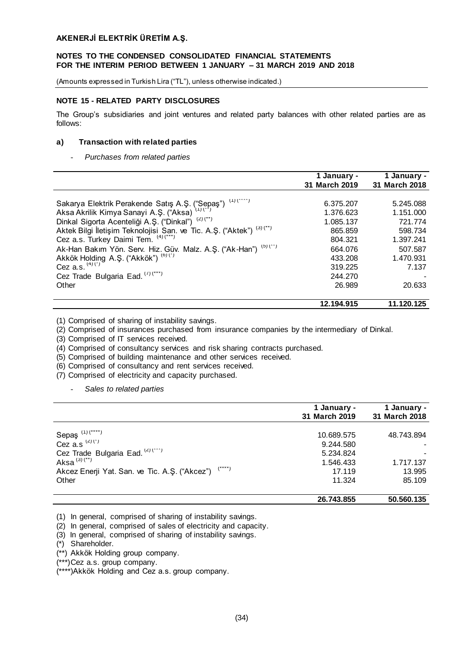(Amounts expressed in Turkish Lira ("TL"), unless otherwise indicated.)

# **NOTE 15 - RELATED PARTY DISCLOSURES**

The Group's subsidiaries and joint ventures and related party balances with other related parties are as follows:

## **a) Transaction with related parties**

- *Purchases from related parties*

|                                                                                                   | 1 January -<br>31 March 2019 | 1 January -<br>31 March 2018 |
|---------------------------------------------------------------------------------------------------|------------------------------|------------------------------|
|                                                                                                   |                              |                              |
| $(1)$ (****)                                                                                      | 6.375.207                    | 5.245.088                    |
| Sakarya Elektrik Perakende Satış A.Ş. ("Sepaş")<br>Aksa Akrilik Kimya Sanayi A.Ş. ("Aksa) (1) (") | 1.376.623                    | 1.151.000                    |
| Dinkal Sigorta Acenteliği A.Ş. ("Dinkal") (2) (**)                                                | 1.085.137                    | 721.774                      |
| Aktek Bilgi İletişim Teknolojisi San. ve Tic. A.Ş. ("Aktek") (3) (**)                             | 865,859                      | 598.734                      |
| Cez a.s. Turkey Daimi Tem. (4) (***)                                                              | 804.321                      | 1.397.241                    |
| Ak-Han Bakım Yön. Serv. Hiz. Güv. Malz. A.Ş. ("Ak-Han") (5) (**)                                  | 664.076                      | 507.587                      |
| Akkök Holding A.Ş. ("Akkök") <sup>(6)(*)</sup>                                                    | 433.208                      | 1.470.931                    |
| Cez a.s. $(4)(7)$                                                                                 | 319.225                      | 7.137                        |
| Cez Trade Bulgaria Ead. (7) (***)                                                                 | 244.270                      |                              |
| Other                                                                                             | 26.989                       | 20.633                       |
|                                                                                                   | 12.194.915                   | 11.120.125                   |

(1) Comprised of sharing of instability savings.

(2) Comprised of insurances purchased from insurance companies by the intermediary of Dinkal.

(3) Comprised of IT services received.

(4) Comprised of consultancy services and risk sharing contracts purchased.

(5) Comprised of building maintenance and other services received.

(6) Comprised of consultancy and rent services received.

(7) Comprised of electricity and capacity purchased.

- *Sales to related parties*

|                                                                      | 1 January -<br>31 March 2019 | 1 January -<br>31 March 2018 |
|----------------------------------------------------------------------|------------------------------|------------------------------|
|                                                                      | 10.689.575                   | 48.743.894                   |
| Sepaş $(1)(1)(1)$<br>Cez a.s $(2)(1)$                                | 9.244.580                    |                              |
| Cez Trade Bulgaria Ead. (2) (***)                                    | 5.234.824                    |                              |
| Aksa $(3)(n)$                                                        | 1.546.433                    | 1.717.137                    |
| $(\hat{C},\hat{C})$<br>Akcez Enerji Yat. San. ve Tic. A.S. ("Akcez") | 17.119                       | 13.995                       |
| Other                                                                | 11.324                       | 85.109                       |
|                                                                      | 26.743.855                   | 50.560.135                   |

(1) In general, comprised of sharing of instability savings.

(2) In general, comprised of sales of electricity and capacity.

(3) In general, comprised of sharing of instability savings.

(\*) Shareholder.

(\*\*) Akkök Holding group company.

(\*\*\*)Cez a.s. group company.

(\*\*\*\*)Akkök Holding and Cez a.s. group company.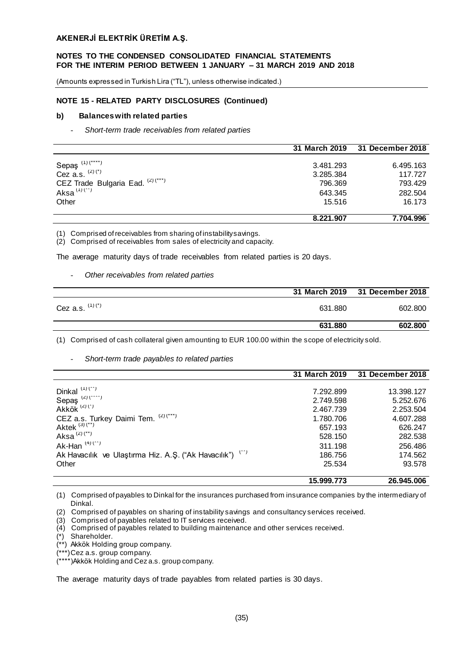## **NOTES TO THE CONDENSED CONSOLIDATED FINANCIAL STATEMENTS FOR THE INTERIM PERIOD BETWEEN 1 JANUARY – 31 MARCH 2019 AND 2018**

(Amounts expressed in Turkish Lira ("TL"), unless otherwise indicated.)

## **NOTE 15 - RELATED PARTY DISCLOSURES (Continued)**

#### **b) Balances with related parties**

- *Short-term trade receivables from related parties*

|                                     | 31 March 2019 | 31 December 2018 |
|-------------------------------------|---------------|------------------|
|                                     |               |                  |
|                                     | 3.481.293     | 6.495.163        |
| Sepaş $(1)(1)$<br>Cez a.s. $(2)(7)$ | 3.285.384     | 117.727          |
| CEZ Trade Bulgaria Ead. (2) (***)   | 796.369       | 793.429          |
| Aksa $(1)(n^{n})$                   | 643.345       | 282,504          |
| Other                               | 15.516        | 16.173           |
|                                     | 8.221.907     | 7.704.996        |

(1) Comprised of receivables from sharing of instability savings.

(2) Comprised of receivables from sales of electricity and capacity.

The average maturity days of trade receivables from related parties is 20 days.

#### - *Other receivables from related parties*

|                   |         | 31 March 2019 31 December 2018 |
|-------------------|---------|--------------------------------|
| Cez a.s. $(1)(')$ | 631.880 | 602.800                        |
|                   | 631.880 | 602.800                        |

(1) Comprised of cash collateral given amounting to EUR 100.00 within the scope of electricity sold.

#### - *Short-term trade payables to related parties*

|                                                           | 31 March 2019 | 31 December 2018 |
|-----------------------------------------------------------|---------------|------------------|
|                                                           |               |                  |
| Dinkal $(1)(n)$                                           | 7.292.899     | 13.398.127       |
| Sepaş $(2)(1)$<br>Akkök $(2)(1)$                          | 2.749.598     | 5.252.676        |
|                                                           | 2.467.739     | 2.253.504        |
| CEZ a.s. Turkey Daimi Tem. (2)(***)                       | 1.780.706     | 4.607.288        |
| Aktek $(3)(n)$                                            | 657.193       | 626.247          |
| Aksa $(2)(n)$                                             | 528.150       | 282,538          |
| Ak-Han $(4)(n)$                                           | 311.198       | 256,486          |
| Ak Havacılık ve Ulaştırma Hiz. A.Ş. ("Ak Havacılık") (**) | 186.756       | 174.562          |
| Other                                                     | 25.534        | 93.578           |
|                                                           | 15.999.773    | 26.945.006       |

(1) Comprised of payables to Dinkal for the insurances purchased from insurance companies by the intermediary of Dinkal.

(3) Comprised of payables related to IT services received.

- (4) Comprised of payables related to building maintenance and other services received.
- (\*) Shareholder.
- (\*\*) Akkök Holding group company.
- (\*\*\*)Cez a.s. group company.

The average maturity days of trade payables from related parties is 30 days.

<sup>(2)</sup> Comprised of payables on sharing of instability savings and consultancy services received.

<sup>(\*\*\*\*)</sup>Akkök Holding and Cez a.s. group company.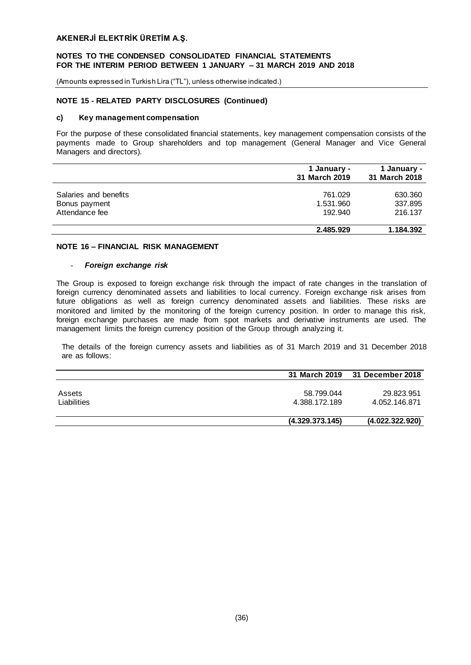## **NOTES TO THE CONDENSED CONSOLIDATED FINANCIAL STATEMENTS FOR THE INTERIM PERIOD BETWEEN 1 JANUARY – 31 MARCH 2019 AND 2018**

(Amounts expressed in Turkish Lira ("TL"), unless otherwise indicated.)

## **NOTE 15 - RELATED PARTY DISCLOSURES (Continued)**

#### **c) Key management compensation**

For the purpose of these consolidated financial statements, key management compensation consists of the payments made to Group shareholders and top management (General Manager and Vice General Managers and directors).

|                                                          | 1 January -<br>31 March 2019    | 1 January -<br>31 March 2018  |  |
|----------------------------------------------------------|---------------------------------|-------------------------------|--|
| Salaries and benefits<br>Bonus payment<br>Attendance fee | 761.029<br>1.531.960<br>192.940 | 630.360<br>337.895<br>216.137 |  |
|                                                          | 2.485.929                       | 1.184.392                     |  |

## **NOTE 16 – FINANCIAL RISK MANAGEMENT**

#### - *Foreign exchange risk*

The Group is exposed to foreign exchange risk through the impact of rate changes in the translation of foreign currency denominated assets and liabilities to local currency. Foreign exchange risk arises from future obligations as well as foreign currency denominated assets and liabilities. These risks are monitored and limited by the monitoring of the foreign currency position. In order to manage this risk, foreign exchange purchases are made from spot markets and derivative instruments are used. The management limits the foreign currency position of the Group through analyzing it.

The details of the foreign currency assets and liabilities as of 31 March 2019 and 31 December 2018 are as follows:

|                       |                             | 31 March 2019 31 December 2018 |
|-----------------------|-----------------------------|--------------------------------|
| Assets<br>Liabilities | 58.799.044<br>4.388.172.189 | 29.823.951<br>4.052.146.871    |
|                       | (4.329.373.145)             | (4.022.322.920)                |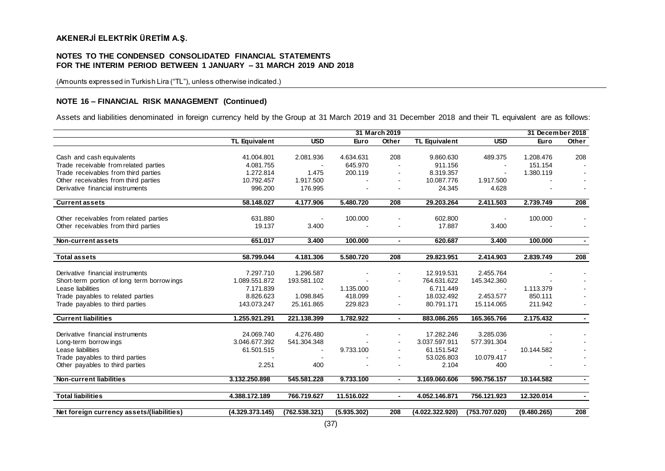## **NOTES TO THE CONDENSED CONSOLIDATED FINANCIAL STATEMENTS FOR THE INTERIM PERIOD BETWEEN 1 JANUARY – 31 MARCH 2019 AND 2018**

(Amounts expressed in Turkish Lira ("TL"), unless otherwise indicated.)

## **NOTE 16 – FINANCIAL RISK MANAGEMENT (Continued)**

Assets and liabilities denominated in foreign currency held by the Group at 31 March 2019 and 31 December 2018 and their TL equivalent are as follows:

|                                            | 31 March 2019        |               |             | 31 December 2018 |                      |               |             |       |
|--------------------------------------------|----------------------|---------------|-------------|------------------|----------------------|---------------|-------------|-------|
|                                            | <b>TL Equivalent</b> | <b>USD</b>    | Euro        | Other            | <b>TL Equivalent</b> | <b>USD</b>    | Euro        | Other |
|                                            |                      |               |             |                  |                      |               |             |       |
| Cash and cash equivalents                  | 41.004.801           | 2.081.936     | 4.634.631   | 208              | 9.860.630            | 489.375       | 1.208.476   | 208   |
| Trade receivable from related parties      | 4.081.755            | $\sim$        | 645.970     |                  | 911.156              | $\sim$        | 151.154     |       |
| Trade receivables from third parties       | 1.272.814            | 1.475         | 200.119     |                  | 8.319.357            |               | 1.380.119   |       |
| Other receivables from third parties       | 10.792.457           | 1.917.500     |             |                  | 10.087.776           | 1.917.500     |             |       |
| Derivative financial instruments           | 996.200              | 176.995       |             |                  | 24.345               | 4.628         |             |       |
| <b>Current assets</b>                      | 58.148.027           | 4.177.906     | 5.480.720   | 208              | 29.203.264           | 2.411.503     | 2.739.749   | 208   |
| Other receivables from related parties     | 631.880              |               | 100.000     |                  | 602.800              |               | 100.000     |       |
| Other receivables from third parties       | 19.137               | 3.400         |             |                  | 17.887               | 3.400         |             |       |
|                                            |                      |               |             |                  |                      |               |             |       |
| Non-current assets                         | 651.017              | 3,400         | 100.000     | $\blacksquare$   | 620.687              | 3.400         | 100.000     |       |
|                                            |                      |               |             |                  |                      |               |             |       |
| Total assets                               | 58.799.044           | 4.181.306     | 5.580.720   | 208              | 29.823.951           | 2.414.903     | 2.839.749   | 208   |
| Derivative financial instruments           | 7.297.710            | 1.296.587     |             |                  | 12.919.531           | 2.455.764     |             |       |
| Short-term portion of long term borrowings | 1.089.551.872        | 193.581.102   |             |                  | 764.631.622          | 145.342.360   |             |       |
| Lease liabilities                          | 7.171.839            |               | 1.135.000   |                  | 6.711.449            |               | 1.113.379   |       |
| Trade payables to related parties          | 8.826.623            | 1.098.845     | 418.099     |                  | 18.032.492           | 2.453.577     | 850.111     |       |
| Trade payables to third parties            | 143.073.247          | 25.161.865    | 229.823     |                  | 80.791.171           | 15.114.065    | 211.942     |       |
|                                            |                      |               |             |                  |                      |               |             |       |
| <b>Current liabilities</b>                 | 1.255.921.291        | 221.138.399   | 1.782.922   | $\sim$           | 883.086.265          | 165.365.766   | 2.175.432   |       |
| Derivative financial instruments           | 24.069.740           | 4.276.480     |             |                  | 17.282.246           | 3.285.036     |             |       |
| Long-term borrow ings                      | 3.046.677.392        | 541.304.348   |             |                  | 3.037.597.911        | 577.391.304   |             |       |
| Lease liabilities                          | 61.501.515           |               | 9.733.100   |                  | 61.151.542           |               | 10.144.582  |       |
| Trade payables to third parties            |                      |               |             |                  | 53.026.803           | 10.079.417    |             |       |
| Other payables to third parties            | 2.251                | 400           |             |                  | 2.104                | 400           |             |       |
| <b>Non-current liabilities</b>             | 3.132.250.898        | 545.581.228   | 9.733.100   | $\blacksquare$   | 3.169.060.606        | 590.756.157   | 10.144.582  |       |
|                                            |                      |               |             |                  |                      |               |             |       |
| <b>Total liabilities</b>                   | 4.388.172.189        | 766.719.627   | 11.516.022  | $\sim$           | 4.052.146.871        | 756.121.923   | 12.320.014  |       |
| Net foreign currency assets/(liabilities)  | (4.329.373.145)      | (762.538.321) | (5.935.302) | 208              | (4.022.322.920)      | (753.707.020) | (9.480.265) | 208   |
|                                            |                      |               |             |                  |                      |               |             |       |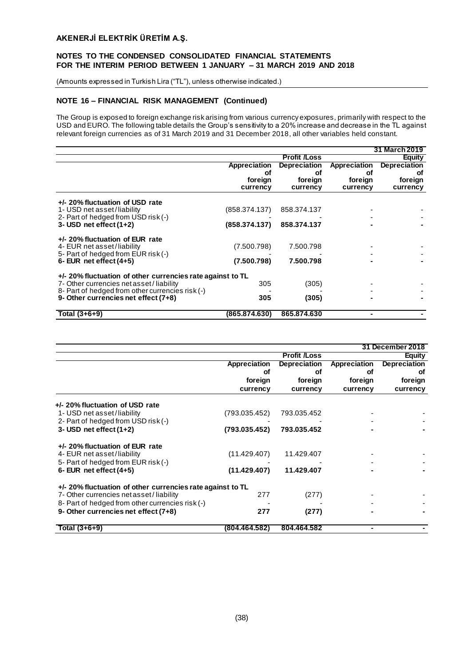## **NOTES TO THE CONDENSED CONSOLIDATED FINANCIAL STATEMENTS FOR THE INTERIM PERIOD BETWEEN 1 JANUARY – 31 MARCH 2019 AND 2018**

(Amounts expressed in Turkish Lira ("TL"), unless otherwise indicated.)

# **NOTE 16 – FINANCIAL RISK MANAGEMENT (Continued)**

The Group is exposed to foreign exchange risk arising from various currency exposures, primarily with respect to the USD and EURO. The following table details the Group's sensitivity to a 20% increase and decrease in the TL against relevant foreign currencies as of 31 March 2019 and 31 December 2018, all other variables held constant.

|                                                                                                      |               |                     |              | 31 March 2019       |  |
|------------------------------------------------------------------------------------------------------|---------------|---------------------|--------------|---------------------|--|
|                                                                                                      |               | <b>Profit /Loss</b> |              | <b>Equity</b>       |  |
|                                                                                                      | Appreciation  | <b>Depreciation</b> | Appreciation | <b>Depreciation</b> |  |
|                                                                                                      | Οt            | Οf                  | οf           | οt                  |  |
|                                                                                                      | foreign       | foreign             | foreign      | foreign             |  |
|                                                                                                      | currency      | currency            | currency     | currency            |  |
| +/- 20% fluctuation of USD rate<br>1- USD net asset/liability                                        | (858.374.137) | 858.374.137         |              |                     |  |
| 2- Part of hedged from USD risk (-)<br>$3 -$ USD net effect $(1+2)$                                  | (858.374.137) | 858.374.137         |              |                     |  |
| +/- 20% fluctuation of EUR rate<br>4- EUR net asset/liability<br>5- Part of hedged from EUR risk (-) | (7.500.798)   | 7.500.798           |              |                     |  |
| 6- EUR net effect $(4+5)$                                                                            | (7.500.798)   | 7.500.798           |              |                     |  |
| $+/-$ 20% fluctuation of other currencies rate against to TL                                         |               |                     |              |                     |  |
| 7- Other currencies net asset/liability                                                              | 305           | (305)               |              |                     |  |
| 8- Part of hedged from other currencies risk (-)                                                     |               |                     |              |                     |  |
| 9- Other currencies net effect (7+8)                                                                 | 305           | (305)               |              |                     |  |
| Total $(3+6+9)$                                                                                      | (865.874.630) | 865,874,630         |              |                     |  |

|                                                              |               |                     |              | 31 December 2018    |
|--------------------------------------------------------------|---------------|---------------------|--------------|---------------------|
|                                                              |               | <b>Profit /Loss</b> |              | <b>Equity</b>       |
|                                                              | Appreciation  | <b>Depreciation</b> | Appreciation | <b>Depreciation</b> |
|                                                              | Οf            | οf                  | οf           | οf                  |
|                                                              | foreign       | foreign             | foreign      | foreign             |
|                                                              | currency      | currency            | currency     | currency            |
| +/- 20% fluctuation of USD rate                              |               |                     |              |                     |
| 1- USD net asset/liability                                   | (793.035.452) | 793.035.452         |              |                     |
| 2- Part of hedged from USD risk (-)                          |               |                     |              |                     |
| $3 -$ USD net effect $(1+2)$                                 | (793.035.452) | 793.035.452         |              |                     |
| +/- 20% fluctuation of EUR rate                              |               |                     |              |                     |
| 4- EUR net asset/liability                                   | (11.429.407)  | 11.429.407          |              |                     |
| 5- Part of hedged from EUR risk (-)                          |               |                     |              |                     |
| 6- EUR net effect $(4+5)$                                    | (11.429.407)  | 11.429.407          |              |                     |
| $+/-$ 20% fluctuation of other currencies rate against to TL |               |                     |              |                     |
| 7- Other currencies net asset/liability                      | 277           | (277)               |              |                     |
| 8- Part of hedged from other currencies risk (-)             |               |                     |              |                     |
| 9- Other currencies net effect (7+8)                         | 277           | (277)               |              |                     |
| Total $(3+6+9)$                                              | (804.464.582) | 804.464.582         |              |                     |